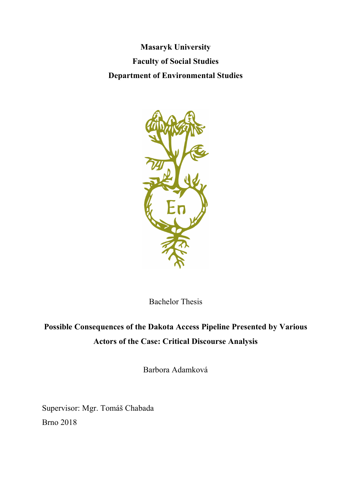**Masaryk University Faculty of Social Studies Department of Environmental Studies**



Bachelor Thesis

# **Possible Consequences of the Dakota Access Pipeline Presented by Various Actors of the Case: Critical Discourse Analysis**

Barbora Adamková

Supervisor: Mgr. Tomáš Chabada Brno 2018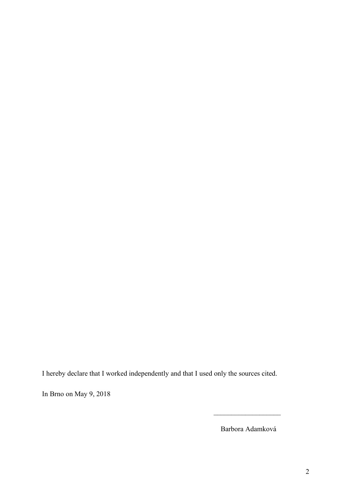I hereby declare that I worked independently and that I used only the sources cited.

In Brno on May 9, 2018

Barbora Adamková

 $\overline{\phantom{a}}$  , where  $\overline{\phantom{a}}$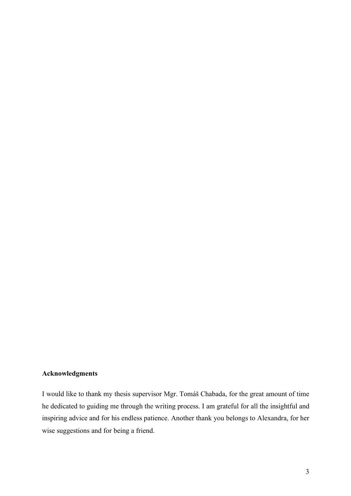### **Acknowledgments**

I would like to thank my thesis supervisor Mgr. Tomáš Chabada, for the great amount of time he dedicated to guiding me through the writing process. I am grateful for all the insightful and inspiring advice and for his endless patience. Another thank you belongs to Alexandra, for her wise suggestions and for being a friend.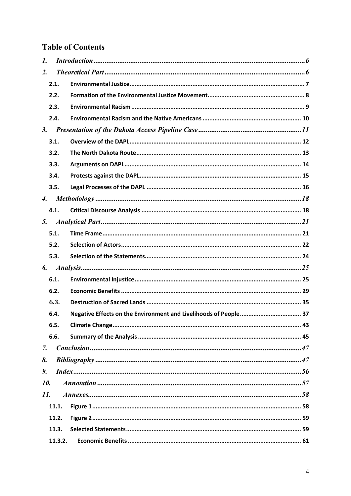### **Table of Contents**

| 1.                 |         |  |
|--------------------|---------|--|
| $\overline{2}$ .   |         |  |
|                    | 2.1.    |  |
|                    | 2.2.    |  |
|                    | 2.3.    |  |
|                    | 2.4.    |  |
| 3.                 |         |  |
|                    | 3.1.    |  |
|                    | 3.2.    |  |
|                    | 3.3.    |  |
|                    | 3.4.    |  |
|                    | 3.5.    |  |
| $\boldsymbol{4}$ . |         |  |
|                    | 4.1.    |  |
| 5.                 |         |  |
|                    | 5.1.    |  |
|                    | 5.2.    |  |
|                    | 5.3.    |  |
| 6.                 |         |  |
|                    | 6.1.    |  |
|                    | 6.2.    |  |
|                    | 6.3.    |  |
|                    | 6.4.    |  |
|                    | 6.5.    |  |
|                    | 6.6.    |  |
| 7.                 |         |  |
| 8.                 |         |  |
| 9.                 |         |  |
| 10.                |         |  |
| 11.                |         |  |
|                    | 11.1.   |  |
|                    | 11.2.   |  |
|                    | 11.3.   |  |
|                    | 11.3.2. |  |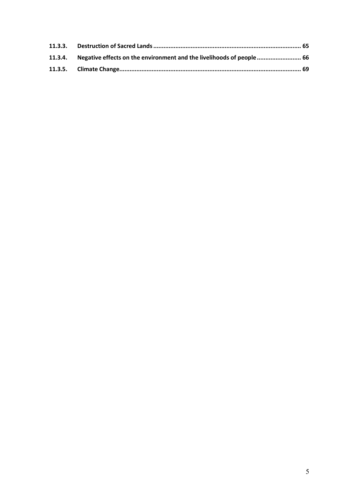| 11.3.4. Negative effects on the environment and the livelihoods of people  66 |  |
|-------------------------------------------------------------------------------|--|
|                                                                               |  |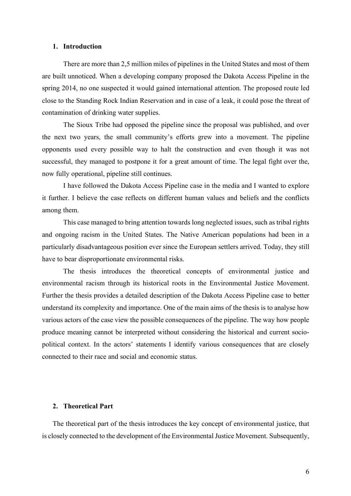### **1. Introduction**

There are more than 2,5 million miles of pipelines in the United States and most of them are built unnoticed. When a developing company proposed the Dakota Access Pipeline in the spring 2014, no one suspected it would gained international attention. The proposed route led close to the Standing Rock Indian Reservation and in case of a leak, it could pose the threat of contamination of drinking water supplies.

The Sioux Tribe had opposed the pipeline since the proposal was published, and over the next two years, the small community's efforts grew into a movement. The pipeline opponents used every possible way to halt the construction and even though it was not successful, they managed to postpone it for a great amount of time. The legal fight over the, now fully operational, pipeline still continues.

I have followed the Dakota Access Pipeline case in the media and I wanted to explore it further. I believe the case reflects on different human values and beliefs and the conflicts among them.

This case managed to bring attention towards long neglected issues, such as tribal rights and ongoing racism in the United States. The Native American populations had been in a particularly disadvantageous position ever since the European settlers arrived. Today, they still have to bear disproportionate environmental risks.

The thesis introduces the theoretical concepts of environmental justice and environmental racism through its historical roots in the Environmental Justice Movement. Further the thesis provides a detailed description of the Dakota Access Pipeline case to better understand its complexity and importance. One of the main aims of the thesis is to analyse how various actors of the case view the possible consequences of the pipeline. The way how people produce meaning cannot be interpreted without considering the historical and current sociopolitical context. In the actors' statements I identify various consequences that are closely connected to their race and social and economic status.

### **2. Theoretical Part**

The theoretical part of the thesis introduces the key concept of environmental justice, that is closely connected to the development of the Environmental Justice Movement. Subsequently,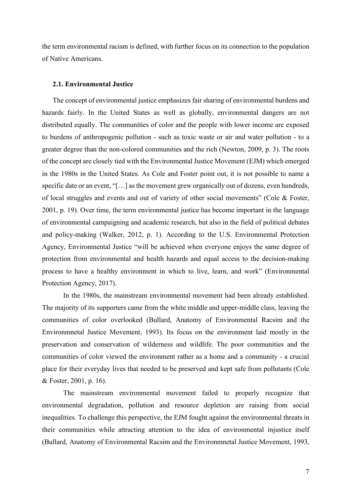the term environmental racism is defined, with further focus on its connection to the population of Native Americans.

### **2.1. Environmental Justice**

The concept of environmental justice emphasizes fair sharing of environmental burdens and hazards fairly. In the United States as well as globally, environmental dangers are not distributed equally. The communities of color and the people with lower income are exposed to burdens of anthropogenic pollution - such as toxic waste or air and water pollution - to a greater degree than the non-colored communities and the rich (Newton, 2009, p. 3). The roots of the concept are closely tied with the Environmental Justice Movement (EJM) which emerged in the 1980s in the United States. As Cole and Foster point out, it is not possible to name a specific date or an event, "[…] as the movement grew organically out of dozens, even hundreds, of local struggles and events and out of variety of other social movements" (Cole & Foster, 2001, p. 19). Over time, the term environmental justice has become important in the language of environmental campaigning and academic research, but also in the field of political debates and policy-making (Walker, 2012, p. 1). According to the U.S. Environmental Protection Agency, Environmental Justice "will be achieved when everyone enjoys the same degree of protection from environmental and health hazards and equal access to the decision-making process to have a healthy environment in which to live, learn, and work" (Environmental Protection Agency, 2017).

In the 1980s, the mainstream environmental movement had been already established. The majority of its supporters came from the white middle and upper-middle class, leaving the communities of color overlooked (Bullard, Anatomy of Environmental Racsim and the Environmnetal Justice Movement, 1993). Its focus on the environment laid mostly in the preservation and conservation of wilderness and wildlife. The poor communities and the communities of color viewed the environment rather as a home and a community - a crucial place for their everyday lives that needed to be preserved and kept safe from pollutants (Cole & Foster, 2001, p. 16).

The mainstream environmental movement failed to properly recognize that environmental degradation, pollution and resource depletion are raising from social inequalities. To challenge this perspective, the EJM fought against the environmental threats in their communities while attracting attention to the idea of environmental injustice itself (Bullard, Anatomy of Environmental Racsim and the Environmnetal Justice Movement, 1993,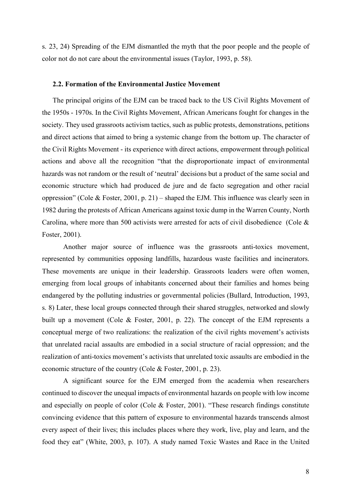s. 23, 24) Spreading of the EJM dismantled the myth that the poor people and the people of color not do not care about the environmental issues (Taylor, 1993, p. 58).

### **2.2. Formation of the Environmental Justice Movement**

The principal origins of the EJM can be traced back to the US Civil Rights Movement of the 1950s - 1970s. In the Civil Rights Movement, African Americans fought for changes in the society. They used grassroots activism tactics, such as public protests, demonstrations, petitions and direct actions that aimed to bring a systemic change from the bottom up. The character of the Civil Rights Movement - its experience with direct actions, empowerment through political actions and above all the recognition "that the disproportionate impact of environmental hazards was not random or the result of 'neutral' decisions but a product of the same social and economic structure which had produced de jure and de facto segregation and other racial oppression" (Cole & Foster, 2001, p. 21) – shaped the EJM. This influence was clearly seen in 1982 during the protests of African Americans against toxic dump in the Warren County, North Carolina, where more than 500 activists were arrested for acts of civil disobedience (Cole & Foster, 2001).

Another major source of influence was the grassroots anti-toxics movement, represented by communities opposing landfills, hazardous waste facilities and incinerators. These movements are unique in their leadership. Grassroots leaders were often women, emerging from local groups of inhabitants concerned about their families and homes being endangered by the polluting industries or governmental policies (Bullard, Introduction, 1993, s. 8) Later, these local groups connected through their shared struggles, networked and slowly built up a movement (Cole & Foster, 2001, p. 22). The concept of the EJM represents a conceptual merge of two realizations: the realization of the civil rights movement's activists that unrelated racial assaults are embodied in a social structure of racial oppression; and the realization of anti-toxics movement's activists that unrelated toxic assaults are embodied in the economic structure of the country (Cole & Foster, 2001, p. 23).

A significant source for the EJM emerged from the academia when researchers continued to discover the unequal impacts of environmental hazards on people with low income and especially on people of color (Cole & Foster, 2001). "These research findings constitute convincing evidence that this pattern of exposure to environmental hazards transcends almost every aspect of their lives; this includes places where they work, live, play and learn, and the food they eat" (White, 2003, p. 107). A study named Toxic Wastes and Race in the United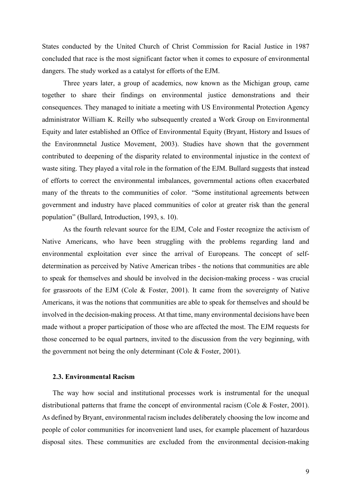States conducted by the United Church of Christ Commission for Racial Justice in 1987 concluded that race is the most significant factor when it comes to exposure of environmental dangers. The study worked as a catalyst for efforts of the EJM.

Three years later, a group of academics, now known as the Michigan group, came together to share their findings on environmental justice demonstrations and their consequences. They managed to initiate a meeting with US Environmental Protection Agency administrator William K. Reilly who subsequently created a Work Group on Environmental Equity and later established an Office of Environmental Equity (Bryant, History and Issues of the Environmnetal Justice Movement, 2003). Studies have shown that the government contributed to deepening of the disparity related to environmental injustice in the context of waste siting. They played a vital role in the formation of the EJM. Bullard suggests that instead of efforts to correct the environmental imbalances, governmental actions often exacerbated many of the threats to the communities of color. "Some institutional agreements between government and industry have placed communities of color at greater risk than the general population" (Bullard, Introduction, 1993, s. 10).

As the fourth relevant source for the EJM, Cole and Foster recognize the activism of Native Americans, who have been struggling with the problems regarding land and environmental exploitation ever since the arrival of Europeans. The concept of selfdetermination as perceived by Native American tribes - the notions that communities are able to speak for themselves and should be involved in the decision-making process - was crucial for grassroots of the EJM (Cole & Foster, 2001). It came from the sovereignty of Native Americans, it was the notions that communities are able to speak for themselves and should be involved in the decision-making process. At that time, many environmental decisions have been made without a proper participation of those who are affected the most. The EJM requests for those concerned to be equal partners, invited to the discussion from the very beginning, with the government not being the only determinant (Cole & Foster, 2001).

### **2.3. Environmental Racism**

The way how social and institutional processes work is instrumental for the unequal distributional patterns that frame the concept of environmental racism (Cole & Foster, 2001). As defined by Bryant, environmental racism includes deliberately choosing the low income and people of color communities for inconvenient land uses, for example placement of hazardous disposal sites. These communities are excluded from the environmental decision-making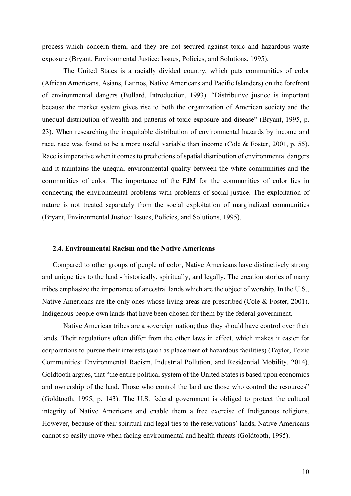process which concern them, and they are not secured against toxic and hazardous waste exposure (Bryant, Environmental Justice: Issues, Policies, and Solutions, 1995).

The United States is a racially divided country, which puts communities of color (African Americans, Asians, Latinos, Native Americans and Pacific Islanders) on the forefront of environmental dangers (Bullard, Introduction, 1993). "Distributive justice is important because the market system gives rise to both the organization of American society and the unequal distribution of wealth and patterns of toxic exposure and disease" (Bryant, 1995, p. 23). When researching the inequitable distribution of environmental hazards by income and race, race was found to be a more useful variable than income (Cole & Foster, 2001, p. 55). Race is imperative when it comes to predictions of spatial distribution of environmental dangers and it maintains the unequal environmental quality between the white communities and the communities of color. The importance of the EJM for the communities of color lies in connecting the environmental problems with problems of social justice. The exploitation of nature is not treated separately from the social exploitation of marginalized communities (Bryant, Environmental Justice: Issues, Policies, and Solutions, 1995).

### **2.4. Environmental Racism and the Native Americans**

Compared to other groups of people of color, Native Americans have distinctively strong and unique ties to the land - historically, spiritually, and legally. The creation stories of many tribes emphasize the importance of ancestral lands which are the object of worship. In the U.S., Native Americans are the only ones whose living areas are prescribed (Cole & Foster, 2001). Indigenous people own lands that have been chosen for them by the federal government.

Native American tribes are a sovereign nation; thus they should have control over their lands. Their regulations often differ from the other laws in effect, which makes it easier for corporations to pursue their interests (such as placement of hazardous facilities) (Taylor, Toxic Communities: Environmental Racism, Industrial Pollution, and Residential Mobility, 2014). Goldtooth argues, that "the entire political system of the United States is based upon economics and ownership of the land. Those who control the land are those who control the resources" (Goldtooth, 1995, p. 143). The U.S. federal government is obliged to protect the cultural integrity of Native Americans and enable them a free exercise of Indigenous religions. However, because of their spiritual and legal ties to the reservations' lands, Native Americans cannot so easily move when facing environmental and health threats (Goldtooth, 1995).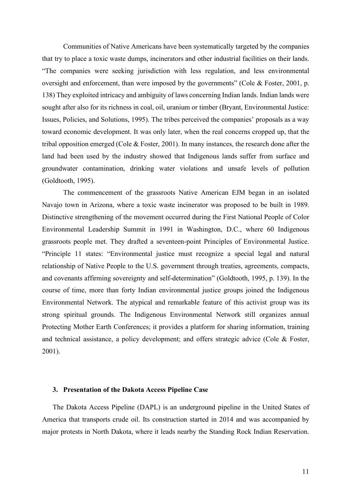Communities of Native Americans have been systematically targeted by the companies that try to place a toxic waste dumps, incinerators and other industrial facilities on their lands. "The companies were seeking jurisdiction with less regulation, and less environmental oversight and enforcement, than were imposed by the governments" (Cole & Foster, 2001, p. 138) They exploited intricacy and ambiguity of laws concerning Indian lands. Indian lands were sought after also for its richness in coal, oil, uranium or timber (Bryant, Environmental Justice: Issues, Policies, and Solutions, 1995). The tribes perceived the companies' proposals as a way toward economic development. It was only later, when the real concerns cropped up, that the tribal opposition emerged (Cole & Foster, 2001). In many instances, the research done after the land had been used by the industry showed that Indigenous lands suffer from surface and groundwater contamination, drinking water violations and unsafe levels of pollution (Goldtooth, 1995).

The commencement of the grassroots Native American EJM began in an isolated Navajo town in Arizona, where a toxic waste incinerator was proposed to be built in 1989. Distinctive strengthening of the movement occurred during the First National People of Color Environmental Leadership Summit in 1991 in Washington, D.C., where 60 Indigenous grassroots people met. They drafted a seventeen-point Principles of Environmental Justice. "Principle 11 states: "Environmental justice must recognize a special legal and natural relationship of Native People to the U.S. government through treaties, agreements, compacts, and covenants affirming sovereignty and self-determination" (Goldtooth, 1995, p. 139). In the course of time, more than forty Indian environmental justice groups joined the Indigenous Environmental Network. The atypical and remarkable feature of this activist group was its strong spiritual grounds. The Indigenous Environmental Network still organizes annual Protecting Mother Earth Conferences; it provides a platform for sharing information, training and technical assistance, a policy development; and offers strategic advice (Cole & Foster, 2001).

#### **3. Presentation of the Dakota Access Pipeline Case**

The Dakota Access Pipeline (DAPL) is an underground pipeline in the United States of America that transports crude oil. Its construction started in 2014 and was accompanied by major protests in North Dakota, where it leads nearby the Standing Rock Indian Reservation.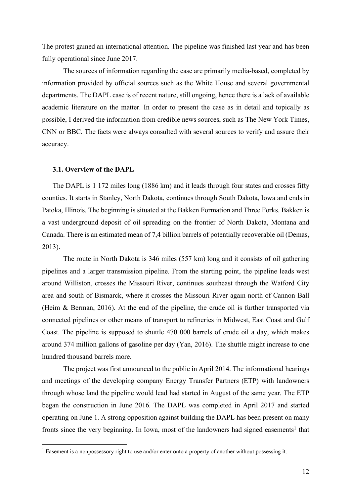The protest gained an international attention. The pipeline was finished last year and has been fully operational since June 2017.

The sources of information regarding the case are primarily media-based, completed by information provided by official sources such as the White House and several governmental departments. The DAPL case is of recent nature, still ongoing, hence there is a lack of available academic literature on the matter. In order to present the case as in detail and topically as possible, I derived the information from credible news sources, such as The New York Times, CNN or BBC. The facts were always consulted with several sources to verify and assure their accuracy.

#### **3.1. Overview of the DAPL**

The DAPL is 1 172 miles long (1886 km) and it leads through four states and crosses fifty counties. It starts in Stanley, North Dakota, continues through South Dakota, Iowa and ends in Patoka, Illinois. The beginning is situated at the Bakken Formation and Three Forks. Bakken is a vast underground deposit of oil spreading on the frontier of North Dakota, Montana and Canada. There is an estimated mean of 7,4 billion barrels of potentially recoverable oil (Demas, 2013).

The route in North Dakota is 346 miles (557 km) long and it consists of oil gathering pipelines and a larger transmission pipeline. From the starting point, the pipeline leads west around Williston, crosses the Missouri River, continues southeast through the Watford City area and south of Bismarck, where it crosses the Missouri River again north of Cannon Ball (Heim & Berman, 2016). At the end of the pipeline, the crude oil is further transported via connected pipelines or other means of transport to refineries in Midwest, East Coast and Gulf Coast. The pipeline is supposed to shuttle 470 000 barrels of crude oil a day, which makes around 374 million gallons of gasoline per day (Yan, 2016). The shuttle might increase to one hundred thousand barrels more.

The project was first announced to the public in April 2014. The informational hearings and meetings of the developing company Energy Transfer Partners (ETP) with landowners through whose land the pipeline would lead had started in August of the same year. The ETP began the construction in June 2016. The DAPL was completed in April 2017 and started operating on June 1. A strong opposition against building the DAPL has been present on many fronts since the very beginning. In Iowa, most of the landowners had signed easements<sup>1</sup> that

<sup>&</sup>lt;sup>1</sup> Easement is a nonpossessory right to use and/or enter onto a property of another without possessing it.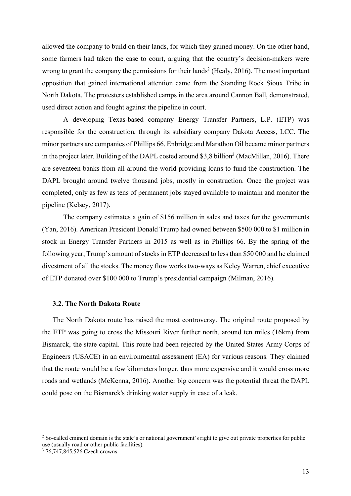allowed the company to build on their lands, for which they gained money. On the other hand, some farmers had taken the case to court, arguing that the country's decision-makers were wrong to grant the company the permissions for their lands<sup>2</sup> (Healy, 2016). The most important opposition that gained international attention came from the Standing Rock Sioux Tribe in North Dakota. The protesters established camps in the area around Cannon Ball, demonstrated, used direct action and fought against the pipeline in court.

A developing Texas-based company Energy Transfer Partners, L.P. (ETP) was responsible for the construction, through its subsidiary company Dakota Access, LCC. The minor partners are companies of Phillips 66. Enbridge and Marathon Oil became minor partners in the project later. Building of the DAPL costed around \$3,8 billion<sup>3</sup> (MacMillan, 2016). There are seventeen banks from all around the world providing loans to fund the construction. The DAPL brought around twelve thousand jobs, mostly in construction. Once the project was completed, only as few as tens of permanent jobs stayed available to maintain and monitor the pipeline (Kelsey, 2017).

The company estimates a gain of \$156 million in sales and taxes for the governments (Yan, 2016). American President Donald Trump had owned between \$500 000 to \$1 million in stock in Energy Transfer Partners in 2015 as well as in Phillips 66. By the spring of the following year, Trump's amount of stocks in ETP decreased to less than \$50 000 and he claimed divestment of all the stocks. The money flow works two-ways as Kelcy Warren, chief executive of ETP donated over \$100 000 to Trump's presidential campaign (Milman, 2016).

### **3.2. The North Dakota Route**

The North Dakota route has raised the most controversy. The original route proposed by the ETP was going to cross the Missouri River further north, around ten miles (16km) from Bismarck, the state capital. This route had been rejected by the United States Army Corps of Engineers (USACE) in an environmental assessment (EA) for various reasons. They claimed that the route would be a few kilometers longer, thus more expensive and it would cross more roads and wetlands (McKenna, 2016). Another big concern was the potential threat the DAPL could pose on the Bismarck's drinking water supply in case of a leak.

<sup>&</sup>lt;sup>2</sup> So-called eminent domain is the state's or national government's right to give out private properties for public use (usually road or other public facilities).

<sup>3</sup> 76,747,845,526 Czech crowns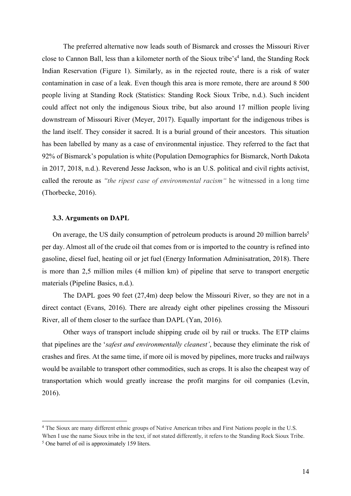The preferred alternative now leads south of Bismarck and crosses the Missouri River close to Cannon Ball, less than a kilometer north of the Sioux tribe's<sup>4</sup> land, the Standing Rock Indian Reservation (Figure 1). Similarly, as in the rejected route, there is a risk of water contamination in case of a leak. Even though this area is more remote, there are around 8 500 people living at Standing Rock (Statistics: Standing Rock Sioux Tribe, n.d.). Such incident could affect not only the indigenous Sioux tribe, but also around 17 million people living downstream of Missouri River (Meyer, 2017). Equally important for the indigenous tribes is the land itself. They consider it sacred. It is a burial ground of their ancestors. This situation has been labelled by many as a case of environmental injustice. They referred to the fact that 92% of Bismarck's population is white (Population Demographics for Bismarck, North Dakota in 2017, 2018, n.d.). Reverend Jesse Jackson, who is an U.S. political and civil rights activist, called the reroute as *"the ripest case of environmental racism"* he witnessed in a long time (Thorbecke, 2016).

### **3.3. Arguments on DAPL**

On average, the US daily consumption of petroleum products is around 20 million barrels<sup>5</sup> per day. Almost all of the crude oil that comes from or is imported to the country is refined into gasoline, diesel fuel, heating oil or jet fuel (Energy Information Adminisatration, 2018). There is more than 2,5 million miles (4 million km) of pipeline that serve to transport energetic materials (Pipeline Basics, n.d.).

The DAPL goes 90 feet (27,4m) deep below the Missouri River, so they are not in a direct contact (Evans, 2016). There are already eight other pipelines crossing the Missouri River, all of them closer to the surface than DAPL (Yan, 2016).

Other ways of transport include shipping crude oil by rail or trucks. The ETP claims that pipelines are the '*safest and environmentally cleanest'*, because they eliminate the risk of crashes and fires. At the same time, if more oil is moved by pipelines, more trucks and railways would be available to transport other commodities, such as crops. It is also the cheapest way of transportation which would greatly increase the profit margins for oil companies (Levin, 2016).

 <sup>4</sup> The Sioux are many different ethnic groups of Native American tribes and First Nations people in the U.S.

When I use the name Sioux tribe in the text, if not stated differently, it refers to the Standing Rock Sioux Tribe. <sup>5</sup> One barrel of oil is approximately 159 liters.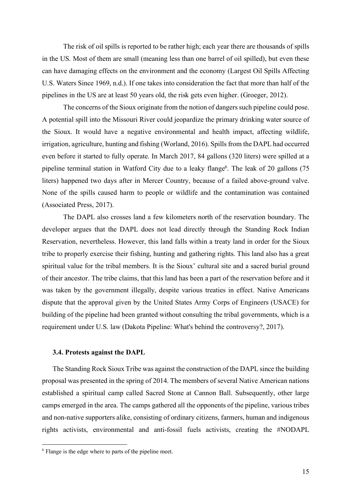The risk of oil spills is reported to be rather high; each year there are thousands of spills in the US. Most of them are small (meaning less than one barrel of oil spilled), but even these can have damaging effects on the environment and the economy (Largest Oil Spills Affecting U.S. Waters Since 1969, n.d.). If one takes into consideration the fact that more than half of the pipelines in the US are at least 50 years old, the risk gets even higher. (Groeger, 2012).

The concerns of the Sioux originate from the notion of dangers such pipeline could pose. A potential spill into the Missouri River could jeopardize the primary drinking water source of the Sioux. It would have a negative environmental and health impact, affecting wildlife, irrigation, agriculture, hunting and fishing (Worland, 2016). Spills from the DAPL had occurred even before it started to fully operate. In March 2017, 84 gallons (320 liters) were spilled at a pipeline terminal station in Watford City due to a leaky flange<sup>6</sup>. The leak of 20 gallons  $(75$ liters) happened two days after in Mercer Country, because of a failed above-ground valve. None of the spills caused harm to people or wildlife and the contamination was contained (Associated Press, 2017).

The DAPL also crosses land a few kilometers north of the reservation boundary. The developer argues that the DAPL does not lead directly through the Standing Rock Indian Reservation, nevertheless. However, this land falls within a treaty land in order for the Sioux tribe to properly exercise their fishing, hunting and gathering rights. This land also has a great spiritual value for the tribal members. It is the Sioux' cultural site and a sacred burial ground of their ancestor. The tribe claims, that this land has been a part of the reservation before and it was taken by the government illegally, despite various treaties in effect. Native Americans dispute that the approval given by the United States Army Corps of Engineers (USACE) for building of the pipeline had been granted without consulting the tribal governments, which is a requirement under U.S. law (Dakota Pipeline: What's behind the controversy?, 2017).

#### **3.4. Protests against the DAPL**

The Standing Rock Sioux Tribe was against the construction of the DAPL since the building proposal was presented in the spring of 2014. The members of several Native American nations established a spiritual camp called Sacred Stone at Cannon Ball. Subsequently, other large camps emerged in the area. The camps gathered all the opponents of the pipeline, various tribes and non-native supporters alike, consisting of ordinary citizens, farmers, human and indigenous rights activists, environmental and anti-fossil fuels activists, creating the #NODAPL

 <sup>6</sup> Flange is the edge where to parts of the pipeline meet.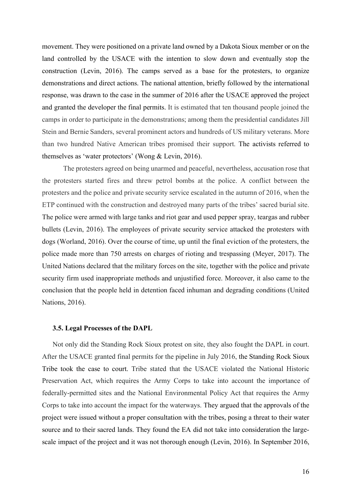movement. They were positioned on a private land owned by a Dakota Sioux member or on the land controlled by the USACE with the intention to slow down and eventually stop the construction (Levin, 2016). The camps served as a base for the protesters, to organize demonstrations and direct actions. The national attention, briefly followed by the international response, was drawn to the case in the summer of 2016 after the USACE approved the project and granted the developer the final permits. It is estimated that ten thousand people joined the camps in order to participate in the demonstrations; among them the presidential candidates Jill Stein and Bernie Sanders, several prominent actors and hundreds of US military veterans. More than two hundred Native American tribes promised their support. The activists referred to themselves as 'water protectors' (Wong & Levin, 2016).

The protesters agreed on being unarmed and peaceful, nevertheless, accusation rose that the protesters started fires and threw petrol bombs at the police. A conflict between the protesters and the police and private security service escalated in the autumn of 2016, when the ETP continued with the construction and destroyed many parts of the tribes' sacred burial site. The police were armed with large tanks and riot gear and used pepper spray, teargas and rubber bullets (Levin, 2016). The employees of private security service attacked the protesters with dogs (Worland, 2016). Over the course of time, up until the final eviction of the protesters, the police made more than 750 arrests on charges of rioting and trespassing (Meyer, 2017). The United Nations declared that the military forces on the site, together with the police and private security firm used inappropriate methods and unjustified force. Moreover, it also came to the conclusion that the people held in detention faced inhuman and degrading conditions (United Nations, 2016).

### **3.5. Legal Processes of the DAPL**

Not only did the Standing Rock Sioux protest on site, they also fought the DAPL in court. After the USACE granted final permits for the pipeline in July 2016, the Standing Rock Sioux Tribe took the case to court. Tribe stated that the USACE violated the National Historic Preservation Act, which requires the Army Corps to take into account the importance of federally-permitted sites and the National Environmental Policy Act that requires the Army Corps to take into account the impact for the waterways. They argued that the approvals of the project were issued without a proper consultation with the tribes, posing a threat to their water source and to their sacred lands. They found the EA did not take into consideration the largescale impact of the project and it was not thorough enough (Levin, 2016). In September 2016,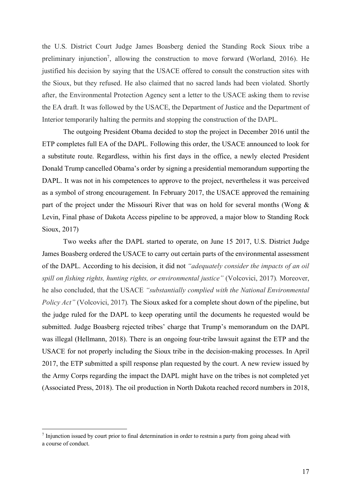the U.S. District Court Judge James Boasberg denied the Standing Rock Sioux tribe a preliminary injunction<sup>7</sup>, allowing the construction to move forward (Worland, 2016). He justified his decision by saying that the USACE offered to consult the construction sites with the Sioux, but they refused. He also claimed that no sacred lands had been violated. Shortly after, the Environmental Protection Agency sent a letter to the USACE asking them to revise the EA draft. It was followed by the USACE, the Department of Justice and the Department of Interior temporarily halting the permits and stopping the construction of the DAPL.

The outgoing President Obama decided to stop the project in December 2016 until the ETP completes full EA of the DAPL. Following this order, the USACE announced to look for a substitute route. Regardless, within his first days in the office, a newly elected President Donald Trump cancelled Obama's order by signing a presidential memorandum supporting the DAPL. It was not in his competences to approve to the project, nevertheless it was perceived as a symbol of strong encouragement. In February 2017, the USACE approved the remaining part of the project under the Missouri River that was on hold for several months (Wong & Levin, Final phase of Dakota Access pipeline to be approved, a major blow to Standing Rock Sioux, 2017)

Two weeks after the DAPL started to operate, on June 15 2017, U.S. District Judge James Boasberg ordered the USACE to carry out certain parts of the environmental assessment of the DAPL. According to his decision, it did not *"adequately consider the impacts of an oil spill on fishing rights, hunting rights, or environmental justice"* (Volcovici, 2017)*.* Moreover, he also concluded, that the USACE *"substantially complied with the National Environmental Policy Act"* (Volcovici, 2017)*.* The Sioux asked for a complete shout down of the pipeline, but the judge ruled for the DAPL to keep operating until the documents he requested would be submitted. Judge Boasberg rejected tribes' charge that Trump's memorandum on the DAPL was illegal (Hellmann, 2018). There is an ongoing four-tribe lawsuit against the ETP and the USACE for not properly including the Sioux tribe in the decision-making processes. In April 2017, the ETP submitted a spill response plan requested by the court. A new review issued by the Army Corps regarding the impact the DAPL might have on the tribes is not completed yet (Associated Press, 2018). The oil production in North Dakota reached record numbers in 2018,

 $<sup>7</sup>$  Injunction issued by court prior to final determination in order to restrain a party from going ahead with</sup> a course of conduct.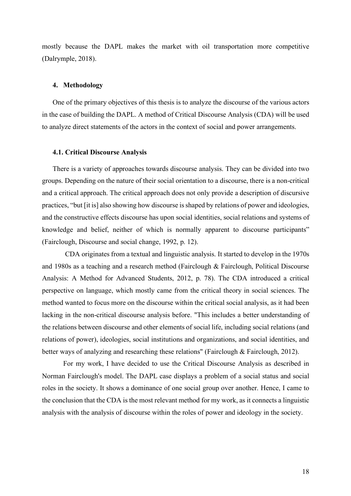mostly because the DAPL makes the market with oil transportation more competitive (Dalrymple, 2018).

### **4. Methodology**

One of the primary objectives of this thesis is to analyze the discourse of the various actors in the case of building the DAPL. A method of Critical Discourse Analysis (CDA) will be used to analyze direct statements of the actors in the context of social and power arrangements.

#### **4.1. Critical Discourse Analysis**

There is a variety of approaches towards discourse analysis. They can be divided into two groups. Depending on the nature of their social orientation to a discourse, there is a non-critical and a critical approach. The critical approach does not only provide a description of discursive practices, "but [it is] also showing how discourse is shaped by relations of power and ideologies, and the constructive effects discourse has upon social identities, social relations and systems of knowledge and belief, neither of which is normally apparent to discourse participants" (Fairclough, Discourse and social change, 1992, p. 12).

CDA originates from a textual and linguistic analysis. It started to develop in the 1970s and 1980s as a teaching and a research method (Fairclough & Fairclough, Political Discourse Analysis: A Method for Advanced Students, 2012, p. 78). The CDA introduced a critical perspective on language, which mostly came from the critical theory in social sciences. The method wanted to focus more on the discourse within the critical social analysis, as it had been lacking in the non-critical discourse analysis before. "This includes a better understanding of the relations between discourse and other elements of social life, including social relations (and relations of power), ideologies, social institutions and organizations, and social identities, and better ways of analyzing and researching these relations" (Fairclough & Fairclough, 2012).

For my work, I have decided to use the Critical Discourse Analysis as described in Norman Fairclough's model. The DAPL case displays a problem of a social status and social roles in the society. It shows a dominance of one social group over another. Hence, I came to the conclusion that the CDA is the most relevant method for my work, as it connects a linguistic analysis with the analysis of discourse within the roles of power and ideology in the society.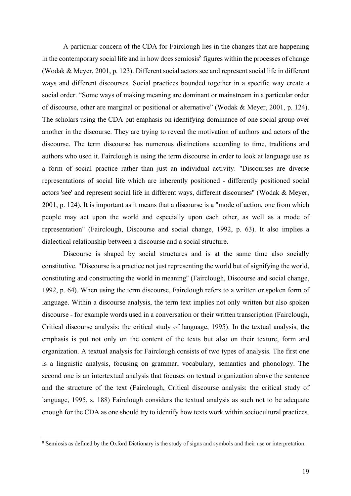A particular concern of the CDA for Fairclough lies in the changes that are happening in the contemporary social life and in how does semiosis<sup>8</sup> figures within the processes of change (Wodak & Meyer, 2001, p. 123). Different social actors see and represent social life in different ways and different discourses. Social practices bounded together in a specific way create a social order. "Some ways of making meaning are dominant or mainstream in a particular order of discourse, other are marginal or positional or alternative" (Wodak & Meyer, 2001, p. 124). The scholars using the CDA put emphasis on identifying dominance of one social group over another in the discourse. They are trying to reveal the motivation of authors and actors of the discourse. The term discourse has numerous distinctions according to time, traditions and authors who used it. Fairclough is using the term discourse in order to look at language use as a form of social practice rather than just an individual activity. "Discourses are diverse representations of social life which are inherently positioned - differently positioned social actors 'see' and represent social life in different ways, different discourses" (Wodak & Meyer, 2001, p. 124). It is important as it means that a discourse is a "mode of action, one from which people may act upon the world and especially upon each other, as well as a mode of representation" (Fairclough, Discourse and social change, 1992, p. 63). It also implies a dialectical relationship between a discourse and a social structure.

Discourse is shaped by social structures and is at the same time also socially constitutive. "Discourse is a practice not just representing the world but of signifying the world, constituting and constructing the world in meaning" (Fairclough, Discourse and social change, 1992, p. 64). When using the term discourse, Fairclough refers to a written or spoken form of language. Within a discourse analysis, the term text implies not only written but also spoken discourse - for example words used in a conversation or their written transcription (Fairclough, Critical discourse analysis: the critical study of language, 1995). In the textual analysis, the emphasis is put not only on the content of the texts but also on their texture, form and organization. A textual analysis for Fairclough consists of two types of analysis. The first one is a linguistic analysis, focusing on grammar, vocabulary, semantics and phonology. The second one is an intertextual analysis that focuses on textual organization above the sentence and the structure of the text (Fairclough, Critical discourse analysis: the critical study of language, 1995, s. 188) Fairclough considers the textual analysis as such not to be adequate enough for the CDA as one should try to identify how texts work within sociocultural practices.

<sup>&</sup>lt;sup>8</sup> Semiosis as defined by the Oxford Dictionary is the study of signs and symbols and their use or interpretation.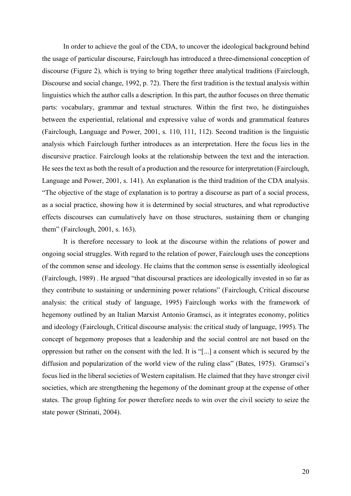In order to achieve the goal of the CDA, to uncover the ideological background behind the usage of particular discourse, Fairclough has introduced a three-dimensional conception of discourse (Figure 2), which is trying to bring together three analytical traditions (Fairclough, Discourse and social change, 1992, p. 72). There the first tradition is the textual analysis within linguistics which the author calls a description. In this part, the author focuses on three thematic parts: vocabulary, grammar and textual structures. Within the first two, he distinguishes between the experiential, relational and expressive value of words and grammatical features (Fairclough, Language and Power, 2001, s. 110, 111, 112). Second tradition is the linguistic analysis which Fairclough further introduces as an interpretation. Here the focus lies in the discursive practice. Fairclough looks at the relationship between the text and the interaction. He sees the text as both the result of a production and the resource for interpretation (Fairclough, Language and Power, 2001, s. 141). An explanation is the third tradition of the CDA analysis. "The objective of the stage of explanation is to portray a discourse as part of a social process, as a social practice, showing how it is determined by social structures, and what reproductive effects discourses can cumulatively have on those structures, sustaining them or changing them" (Fairclough, 2001, s. 163).

It is therefore necessary to look at the discourse within the relations of power and ongoing social struggles. With regard to the relation of power, Fairclough uses the conceptions of the common sense and ideology. He claims that the common sense is essentially ideological (Fairclough, 1989) . He argued "that discoursal practices are ideologically invested in so far as they contribute to sustaining or undermining power relations" (Fairclough, Critical discourse analysis: the critical study of language, 1995) Fairclough works with the framework of hegemony outlined by an Italian Marxist Antonio Gramsci, as it integrates economy, politics and ideology (Fairclough, Critical discourse analysis: the critical study of language, 1995). The concept of hegemony proposes that a leadership and the social control are not based on the oppression but rather on the consent with the led. It is "[...] a consent which is secured by the diffusion and popularization of the world view of the ruling class" (Bates, 1975). Gramsci's focus lied in the liberal societies of Western capitalism. He claimed that they have stronger civil societies, which are strengthening the hegemony of the dominant group at the expense of other states. The group fighting for power therefore needs to win over the civil society to seize the state power (Strinati, 2004).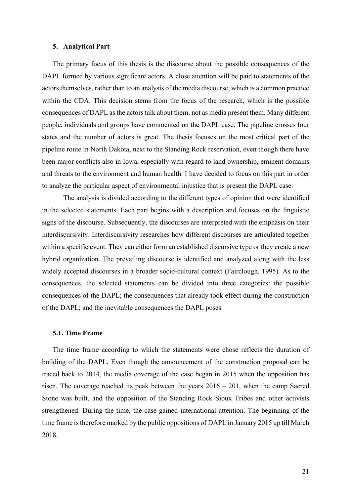### **5. Analytical Part**

The primary focus of this thesis is the discourse about the possible consequences of the DAPL formed by various significant actors. A close attention will be paid to statements of the actors themselves, rather than to an analysis of the media discourse, which is a common practice within the CDA. This decision stems from the focus of the research, which is the possible consequences of DAPL as the actors talk about them, not as media present them. Many different people, individuals and groups have commented on the DAPL case. The pipeline crosses four states and the number of actors is great. The thesis focuses on the most critical part of the pipeline route in North Dakota, next to the Standing Rock reservation, even though there have been major conflicts also in Iowa, especially with regard to land ownership, eminent domains and threats to the environment and human health. I have decided to focus on this part in order to analyze the particular aspect of environmental injustice that is present the DAPL case.

The analysis is divided according to the different types of opinion that were identified in the selected statements. Each part begins with a description and focuses on the linguistic signs of the discourse. Subsequently, the discourses are interpreted with the emphasis on their interdiscursivity. Interdiscursivity researches how different discourses are articulated together within a specific event. They can either form an established discursive type or they create a new hybrid organization. The prevailing discourse is identified and analyzed along with the less widely accepted discourses in a broader socio-cultural context (Fairclough, 1995). As to the consequences, the selected statements can be divided into three categories: the possible consequences of the DAPL; the consequences that already took effect during the construction of the DAPL; and the inevitable consequences the DAPL poses.

### **5.1. Time Frame**

The time frame according to which the statements were chose reflects the duration of building of the DAPL. Even though the announcement of the construction proposal can be traced back to 2014, the media coverage of the case began in 2015 when the opposition has risen. The coverage reached its peak between the years 2016 – 201, when the camp Sacred Stone was built, and the opposition of the Standing Rock Sioux Tribes and other activists strengthened. During the time, the case gained international attention. The beginning of the time frame is therefore marked by the public oppositions of DAPL in January 2015 up till March 2018.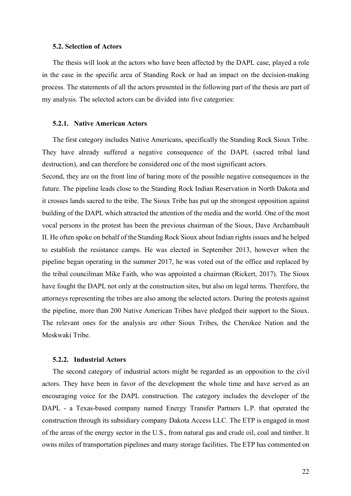### **5.2. Selection of Actors**

The thesis will look at the actors who have been affected by the DAPL case, played a role in the case in the specific area of Standing Rock or had an impact on the decision-making process. The statements of all the actors presented in the following part of the thesis are part of my analysis. The selected actors can be divided into five categories:

### **5.2.1. Native American Actors**

The first category includes Native Americans, specifically the Standing Rock Sioux Tribe. They have already suffered a negative consequence of the DAPL (sacred tribal land destruction), and can therefore be considered one of the most significant actors.

Second, they are on the front line of baring more of the possible negative consequences in the future. The pipeline leads close to the Standing Rock Indian Reservation in North Dakota and it crosses lands sacred to the tribe. The Sioux Tribe has put up the strongest opposition against building of the DAPL which attracted the attention of the media and the world. One of the most vocal persons in the protest has been the previous chairman of the Sioux, Dave Archambault II. He often spoke on behalf of the Standing Rock Sioux about Indian rights issues and he helped to establish the resistance camps. He was elected in September 2013, however when the pipeline began operating in the summer 2017, he was voted out of the office and replaced by the tribal councilman Mike Faith, who was appointed a chairman (Rickert, 2017). The Sioux have fought the DAPL not only at the construction sites, but also on legal terms. Therefore, the attorneys representing the tribes are also among the selected actors. During the protests against the pipeline, more than 200 Native American Tribes have pledged their support to the Sioux. The relevant ones for the analysis are other Sioux Tribes, the Cherokee Nation and the Meskwaki Tribe.

### **5.2.2. Industrial Actors**

The second category of industrial actors might be regarded as an opposition to the civil actors. They have been in favor of the development the whole time and have served as an encouraging voice for the DAPL construction. The category includes the developer of the DAPL - a Texas-based company named Energy Transfer Partners L.P. that operated the construction through its subsidiary company Dakota Access LLC. The ETP is engaged in most of the areas of the energy sector in the U.S., from natural gas and crude oil, coal and timber. It owns miles of transportation pipelines and many storage facilities. The ETP has commented on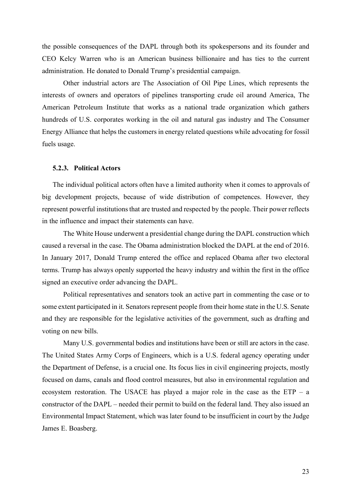the possible consequences of the DAPL through both its spokespersons and its founder and CEO Kelcy Warren who is an American business billionaire and has ties to the current administration. He donated to Donald Trump's presidential campaign.

Other industrial actors are The Association of Oil Pipe Lines, which represents the interests of owners and operators of pipelines transporting crude oil around America, The American Petroleum Institute that works as a national trade organization which gathers hundreds of U.S. corporates working in the oil and natural gas industry and The Consumer Energy Alliance that helps the customers in energy related questions while advocating for fossil fuels usage.

### **5.2.3. Political Actors**

The individual political actors often have a limited authority when it comes to approvals of big development projects, because of wide distribution of competences. However, they represent powerful institutions that are trusted and respected by the people. Their power reflects in the influence and impact their statements can have.

The White House underwent a presidential change during the DAPL construction which caused a reversal in the case. The Obama administration blocked the DAPL at the end of 2016. In January 2017, Donald Trump entered the office and replaced Obama after two electoral terms. Trump has always openly supported the heavy industry and within the first in the office signed an executive order advancing the DAPL.

Political representatives and senators took an active part in commenting the case or to some extent participated in it. Senators represent people from their home state in the U.S. Senate and they are responsible for the legislative activities of the government, such as drafting and voting on new bills.

Many U.S. governmental bodies and institutions have been or still are actors in the case. The United States Army Corps of Engineers, which is a U.S. federal agency operating under the Department of Defense, is a crucial one. Its focus lies in civil engineering projects, mostly focused on dams, canals and flood control measures, but also in environmental regulation and ecosystem restoration. The USACE has played a major role in the case as the ETP – a constructor of the DAPL – needed their permit to build on the federal land. They also issued an Environmental Impact Statement, which was later found to be insufficient in court by the Judge James E. Boasberg.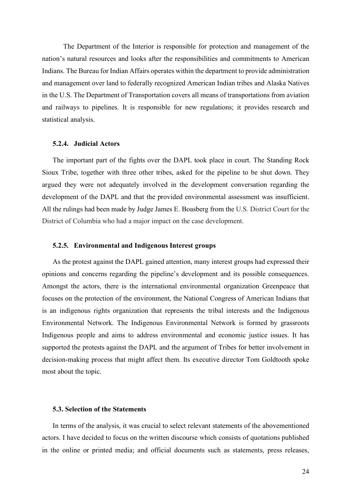The Department of the Interior is responsible for protection and management of the nation's natural resources and looks after the responsibilities and commitments to American Indians. The Bureau for Indian Affairs operates within the department to provide administration and management over land to federally recognized American Indian tribes and Alaska Natives in the U.S. The Department of Transportation covers all means of transportations from aviation and railways to pipelines. It is responsible for new regulations; it provides research and statistical analysis.

#### **5.2.4. Judicial Actors**

The important part of the fights over the DAPL took place in court. The Standing Rock Sioux Tribe, together with three other tribes, asked for the pipeline to be shut down. They argued they were not adequately involved in the development conversation regarding the development of the DAPL and that the provided environmental assessment was insufficient. All the rulings had been made by Judge James E. Boasberg from the U.S. District Court for the District of Columbia who had a major impact on the case development.

### **5.2.5. Environmental and Indigenous Interest groups**

As the protest against the DAPL gained attention, many interest groups had expressed their opinions and concerns regarding the pipeline's development and its possible consequences. Amongst the actors, there is the international environmental organization Greenpeace that focuses on the protection of the environment, the National Congress of American Indians that is an indigenous rights organization that represents the tribal interests and the Indigenous Environmental Network. The Indigenous Environmental Network is formed by grassroots Indigenous people and aims to address environmental and economic justice issues. It has supported the protests against the DAPL and the argument of Tribes for better involvement in decision-making process that might affect them. Its executive director Tom Goldtooth spoke most about the topic.

### **5.3. Selection of the Statements**

In terms of the analysis, it was crucial to select relevant statements of the abovementioned actors. I have decided to focus on the written discourse which consists of quotations published in the online or printed media; and official documents such as statements, press releases,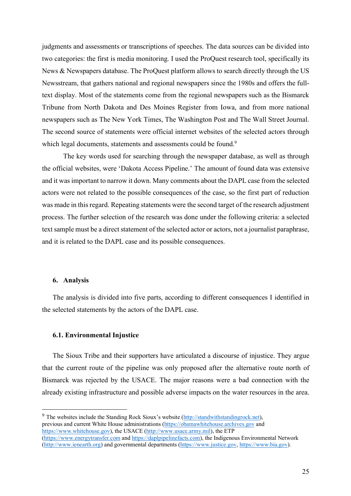judgments and assessments or transcriptions of speeches. The data sources can be divided into two categories: the first is media monitoring. I used the ProQuest research tool, specifically its News & Newspapers database. The ProQuest platform allows to search directly through the US Newsstream, that gathers national and regional newspapers since the 1980s and offers the fulltext display. Most of the statements come from the regional newspapers such as the Bismarck Tribune from North Dakota and Des Moines Register from Iowa, and from more national newspapers such as The New York Times, The Washington Post and The Wall Street Journal. The second source of statements were official internet websites of the selected actors through which legal documents, statements and assessments could be found.<sup>9</sup>

The key words used for searching through the newspaper database, as well as through the official websites, were 'Dakota Access Pipeline.' The amount of found data was extensive and it was important to narrow it down. Many comments about the DAPL case from the selected actors were not related to the possible consequences of the case, so the first part of reduction was made in this regard. Repeating statements were the second target of the research adjustment process. The further selection of the research was done under the following criteria: a selected text sample must be a direct statement of the selected actor or actors, not a journalist paraphrase, and it is related to the DAPL case and its possible consequences.

### **6. Analysis**

The analysis is divided into five parts, according to different consequences I identified in the selected statements by the actors of the DAPL case.

### **6.1. Environmental Injustice**

The Sioux Tribe and their supporters have articulated a discourse of injustice. They argue that the current route of the pipeline was only proposed after the alternative route north of Bismarck was rejected by the USACE. The major reasons were a bad connection with the already existing infrastructure and possible adverse impacts on the water resources in the area.

<sup>&</sup>lt;sup>9</sup> The websites include the Standing Rock Sioux's website (http://standwithstandingrock.net), previous and current White House administrations (https://obamawhitehouse.archives.gov and https://www.whitehouse.gov), the USACE (http://www.usace.army.mil), the ETP (https://www.energytransfer.com and https://daplpipelinefacts.com), the Indigenous Environmental Network (http://www.ienearth.org) and governmental departments (https://www.justice.gov, https://www.bia.gov).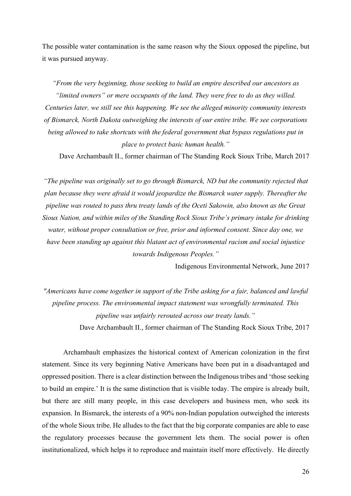The possible water contamination is the same reason why the Sioux opposed the pipeline, but it was pursued anyway.

*"From the very beginning, those seeking to build an empire described our ancestors as "limited owners" or mere occupants of the land. They were free to do as they willed. Centuries later, we still see this happening. We see the alleged minority community interests of Bismarck, North Dakota outweighing the interests of our entire tribe. We see corporations being allowed to take shortcuts with the federal government that bypass regulations put in place to protect basic human health."*

Dave Archambault II., former chairman of The Standing Rock Sioux Tribe, March 2017

*"The pipeline was originally set to go through Bismarck, ND but the community rejected that plan because they were afraid it would jeopardize the Bismarck water supply. Thereafter the pipeline was routed to pass thru treaty lands of the Oceti Sakowin, also known as the Great Sioux Nation, and within miles of the Standing Rock Sioux Tribe's primary intake for drinking water, without proper consultation or free, prior and informed consent. Since day one, we have been standing up against this blatant act of environmental racism and social injustice towards Indigenous Peoples."*

Indigenous Environmental Network, June 2017

*"Americans have come together in support of the Tribe asking for a fair, balanced and lawful pipeline process. The environmental impact statement was wrongfully terminated. This pipeline was unfairly rerouted across our treaty lands."* Dave Archambault II., former chairman of The Standing Rock Sioux Tribe, 2017

Archambault emphasizes the historical context of American colonization in the first statement. Since its very beginning Native Americans have been put in a disadvantaged and oppressed position. There is a clear distinction between the Indigenous tribes and 'those seeking to build an empire.' It is the same distinction that is visible today. The empire is already built, but there are still many people, in this case developers and business men, who seek its expansion. In Bismarck, the interests of a 90% non-Indian population outweighed the interests of the whole Sioux tribe. He alludes to the fact that the big corporate companies are able to ease the regulatory processes because the government lets them. The social power is often institutionalized, which helps it to reproduce and maintain itself more effectively. He directly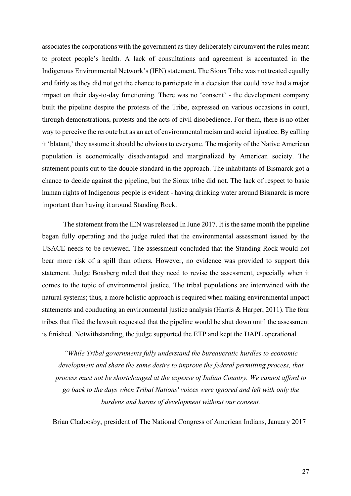associates the corporations with the government as they deliberately circumvent the rules meant to protect people's health. A lack of consultations and agreement is accentuated in the Indigenous Environmental Network's (IEN) statement. The Sioux Tribe was not treated equally and fairly as they did not get the chance to participate in a decision that could have had a major impact on their day-to-day functioning. There was no 'consent' - the development company built the pipeline despite the protests of the Tribe, expressed on various occasions in court, through demonstrations, protests and the acts of civil disobedience. For them, there is no other way to perceive the reroute but as an act of environmental racism and social injustice. By calling it 'blatant,' they assume it should be obvious to everyone. The majority of the Native American population is economically disadvantaged and marginalized by American society. The statement points out to the double standard in the approach. The inhabitants of Bismarck got a chance to decide against the pipeline, but the Sioux tribe did not. The lack of respect to basic human rights of Indigenous people is evident - having drinking water around Bismarck is more important than having it around Standing Rock.

The statement from the IEN was released In June 2017. It is the same month the pipeline began fully operating and the judge ruled that the environmental assessment issued by the USACE needs to be reviewed. The assessment concluded that the Standing Rock would not bear more risk of a spill than others. However, no evidence was provided to support this statement. Judge Boasberg ruled that they need to revise the assessment, especially when it comes to the topic of environmental justice. The tribal populations are intertwined with the natural systems; thus, a more holistic approach is required when making environmental impact statements and conducting an environmental justice analysis (Harris & Harper, 2011).The four tribes that filed the lawsuit requested that the pipeline would be shut down until the assessment is finished. Notwithstanding, the judge supported the ETP and kept the DAPL operational.

*"While Tribal governments fully understand the bureaucratic hurdles to economic development and share the same desire to improve the federal permitting process, that process must not be shortchanged at the expense of Indian Country. We cannot afford to go back to the days when Tribal Nations' voices were ignored and left with only the burdens and harms of development without our consent.* 

Brian Cladoosby, president of The National Congress of American Indians, January 2017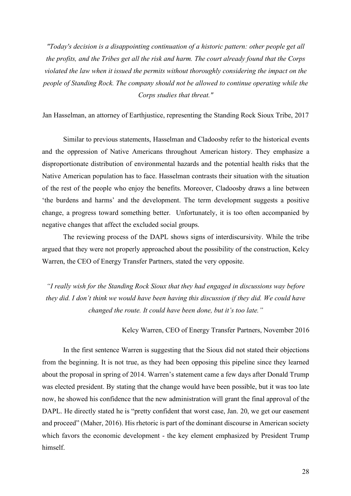*"Today's decision is a disappointing continuation of a historic pattern: other people get all the profits, and the Tribes get all the risk and harm. The court already found that the Corps violated the law when it issued the permits without thoroughly considering the impact on the people of Standing Rock. The company should not be allowed to continue operating while the Corps studies that threat."*

Jan Hasselman, an attorney of Earthjustice, representing the Standing Rock Sioux Tribe, 2017

Similar to previous statements, Hasselman and Cladoosby refer to the historical events and the oppression of Native Americans throughout American history. They emphasize a disproportionate distribution of environmental hazards and the potential health risks that the Native American population has to face. Hasselman contrasts their situation with the situation of the rest of the people who enjoy the benefits. Moreover, Cladoosby draws a line between 'the burdens and harms' and the development. The term development suggests a positive change, a progress toward something better. Unfortunately, it is too often accompanied by negative changes that affect the excluded social groups.

The reviewing process of the DAPL shows signs of interdiscursivity. While the tribe argued that they were not properly approached about the possibility of the construction, Kelcy Warren, the CEO of Energy Transfer Partners, stated the very opposite.

*"I really wish for the Standing Rock Sioux that they had engaged in discussions way before they did. I don't think we would have been having this discussion if they did. We could have changed the route. It could have been done, but it's too late."*

Kelcy Warren, CEO of Energy Transfer Partners, November 2016

In the first sentence Warren is suggesting that the Sioux did not stated their objections from the beginning. It is not true, as they had been opposing this pipeline since they learned about the proposal in spring of 2014. Warren's statement came a few days after Donald Trump was elected president. By stating that the change would have been possible, but it was too late now, he showed his confidence that the new administration will grant the final approval of the DAPL. He directly stated he is "pretty confident that worst case, Jan. 20, we get our easement and proceed" (Maher, 2016). His rhetoric is part of the dominant discourse in American society which favors the economic development - the key element emphasized by President Trump himself.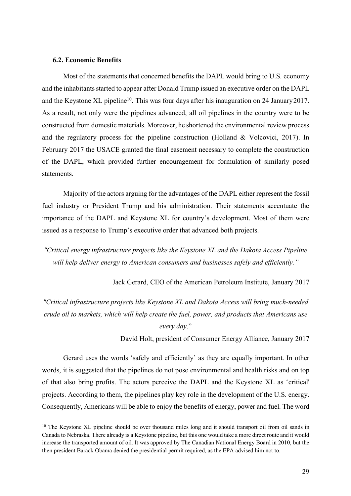### **6.2. Economic Benefits**

Most of the statements that concerned benefits the DAPL would bring to U.S. economy and the inhabitants started to appear after Donald Trump issued an executive order on the DAPL and the Keystone XL pipeline<sup>10</sup>. This was four days after his inauguration on 24 January 2017. As a result, not only were the pipelines advanced, all oil pipelines in the country were to be constructed from domestic materials. Moreover, he shortened the environmental review process and the regulatory process for the pipeline construction (Holland  $&$  Volcovici, 2017). In February 2017 the USACE granted the final easement necessary to complete the construction of the DAPL, which provided further encouragement for formulation of similarly posed statements.

Majority of the actors arguing for the advantages of the DAPL either represent the fossil fuel industry or President Trump and his administration. Their statements accentuate the importance of the DAPL and Keystone XL for country's development. Most of them were issued as a response to Trump's executive order that advanced both projects.

*"Critical energy infrastructure projects like the Keystone XL and the Dakota Access Pipeline will help deliver energy to American consumers and businesses safely and efficiently."*

Jack Gerard, CEO of the American Petroleum Institute, January 2017

*"Critical infrastructure projects like Keystone XL and Dakota Access will bring much-needed crude oil to markets, which will help create the fuel, power, and products that Americans use every day*."

David Holt, president of Consumer Energy Alliance, January 2017

Gerard uses the words 'safely and efficiently' as they are equally important. In other words, it is suggested that the pipelines do not pose environmental and health risks and on top of that also bring profits. The actors perceive the DAPL and the Keystone XL as 'critical' projects. According to them, the pipelines play key role in the development of the U.S. energy. Consequently, Americans will be able to enjoy the benefits of energy, power and fuel. The word

<sup>&</sup>lt;sup>10</sup> The Keystone XL pipeline should be over thousand miles long and it should transport oil from oil sands in Canada to Nebraska. There already is a Keystone pipeline, but this one would take a more direct route and it would increase the transported amount of oil. It was approved by The Canadian National Energy Board in 2010, but the then president Barack Obama denied the presidential permit required, as the EPA advised him not to.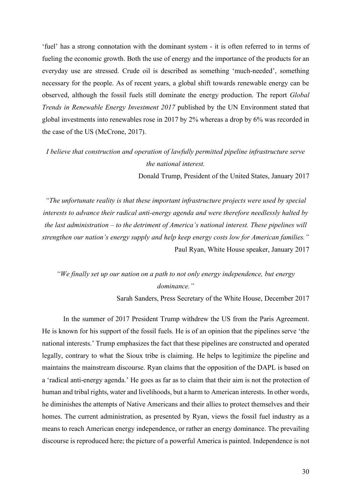'fuel' has a strong connotation with the dominant system - it is often referred to in terms of fueling the economic growth. Both the use of energy and the importance of the products for an everyday use are stressed. Crude oil is described as something 'much-needed', something necessary for the people. As of recent years, a global shift towards renewable energy can be observed, although the fossil fuels still dominate the energy production. The report *Global Trends in Renewable Energy Investment 2017* published by the UN Environment stated that global investments into renewables rose in 2017 by 2% whereas a drop by 6% was recorded in the case of the US (McCrone, 2017).

# *I believe that construction and operation of lawfully permitted pipeline infrastructure serve the national interest.*

Donald Trump, President of the United States, January 2017

*"The unfortunate reality is that these important infrastructure projects were used by special interests to advance their radical anti-energy agenda and were therefore needlessly halted by the last administration – to the detriment of America's national interest. These pipelines will strengthen our nation's energy supply and help keep energy costs low for American families."* Paul Ryan, White House speaker, January 2017

### *"We finally set up our nation on a path to not only energy independence, but energy dominance."*

Sarah Sanders, Press Secretary of the White House, December 2017

In the summer of 2017 President Trump withdrew the US from the Paris Agreement. He is known for his support of the fossil fuels. He is of an opinion that the pipelines serve 'the national interests.' Trump emphasizes the fact that these pipelines are constructed and operated legally, contrary to what the Sioux tribe is claiming. He helps to legitimize the pipeline and maintains the mainstream discourse. Ryan claims that the opposition of the DAPL is based on a 'radical anti-energy agenda.' He goes as far as to claim that their aim is not the protection of human and tribal rights, water and livelihoods, but a harm to American interests. In other words, he diminishes the attempts of Native Americans and their allies to protect themselves and their homes. The current administration, as presented by Ryan, views the fossil fuel industry as a means to reach American energy independence, or rather an energy dominance. The prevailing discourse is reproduced here; the picture of a powerful America is painted. Independence is not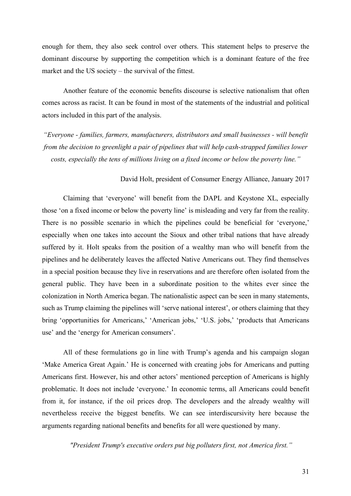enough for them, they also seek control over others. This statement helps to preserve the dominant discourse by supporting the competition which is a dominant feature of the free market and the US society – the survival of the fittest.

Another feature of the economic benefits discourse is selective nationalism that often comes across as racist. It can be found in most of the statements of the industrial and political actors included in this part of the analysis.

*"Everyone - families, farmers, manufacturers, distributors and small businesses - will benefit from the decision to greenlight a pair of pipelines that will help cash-strapped families lower costs, especially the tens of millions living on a fixed income or below the poverty line."*

### David Holt, president of Consumer Energy Alliance, January 2017

Claiming that 'everyone' will benefit from the DAPL and Keystone XL, especially those 'on a fixed income or below the poverty line' is misleading and very far from the reality. There is no possible scenario in which the pipelines could be beneficial for 'everyone,' especially when one takes into account the Sioux and other tribal nations that have already suffered by it. Holt speaks from the position of a wealthy man who will benefit from the pipelines and he deliberately leaves the affected Native Americans out. They find themselves in a special position because they live in reservations and are therefore often isolated from the general public. They have been in a subordinate position to the whites ever since the colonization in North America began. The nationalistic aspect can be seen in many statements, such as Trump claiming the pipelines will 'serve national interest', or others claiming that they bring 'opportunities for Americans,' 'American jobs,' 'U.S. jobs,' 'products that Americans use' and the 'energy for American consumers'.

All of these formulations go in line with Trump's agenda and his campaign slogan 'Make America Great Again.' He is concerned with creating jobs for Americans and putting Americans first. However, his and other actors' mentioned perception of Americans is highly problematic. It does not include 'everyone.' In economic terms, all Americans could benefit from it, for instance, if the oil prices drop. The developers and the already wealthy will nevertheless receive the biggest benefits. We can see interdiscursivity here because the arguments regarding national benefits and benefits for all were questioned by many.

*"President Trump's executive orders put big polluters first, not America first."*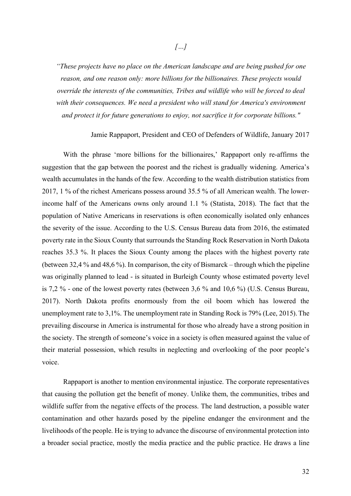*"These projects have no place on the American landscape and are being pushed for one reason, and one reason only: more billions for the billionaires. These projects would override the interests of the communities, Tribes and wildlife who will be forced to deal with their consequences. We need a president who will stand for America's environment and protect it for future generations to enjoy, not sacrifice it for corporate billions."*

### Jamie Rappaport, President and CEO of Defenders of Wildlife, January 2017

With the phrase 'more billions for the billionaires,' Rappaport only re-affirms the suggestion that the gap between the poorest and the richest is gradually widening. America's wealth accumulates in the hands of the few. According to the wealth distribution statistics from 2017, 1 % of the richest Americans possess around 35.5 % of all American wealth. The lowerincome half of the Americans owns only around 1.1 % (Statista, 2018). The fact that the population of Native Americans in reservations is often economically isolated only enhances the severity of the issue. According to the U.S. Census Bureau data from 2016, the estimated poverty rate in the Sioux County that surrounds the Standing Rock Reservation in North Dakota reaches 35.3 %. It places the Sioux County among the places with the highest poverty rate (between 32,4 % and 48,6 %). In comparison, the city of Bismarck – through which the pipeline was originally planned to lead - is situated in Burleigh County whose estimated poverty level is 7,2 % - one of the lowest poverty rates (between 3,6 % and 10,6 %) (U.S. Census Bureau, 2017). North Dakota profits enormously from the oil boom which has lowered the unemployment rate to 3,1%. The unemployment rate in Standing Rock is 79% (Lee, 2015).The prevailing discourse in America is instrumental for those who already have a strong position in the society. The strength of someone's voice in a society is often measured against the value of their material possession, which results in neglecting and overlooking of the poor people's voice.

Rappaport is another to mention environmental injustice. The corporate representatives that causing the pollution get the benefit of money. Unlike them, the communities, tribes and wildlife suffer from the negative effects of the process. The land destruction, a possible water contamination and other hazards posed by the pipeline endanger the environment and the livelihoods of the people. He is trying to advance the discourse of environmental protection into a broader social practice, mostly the media practice and the public practice. He draws a line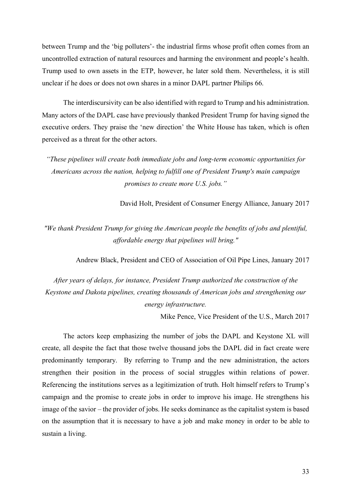between Trump and the 'big polluters'- the industrial firms whose profit often comes from an uncontrolled extraction of natural resources and harming the environment and people's health. Trump used to own assets in the ETP, however, he later sold them. Nevertheless, it is still unclear if he does or does not own shares in a minor DAPL partner Philips 66.

The interdiscursivity can be also identified with regard to Trump and his administration. Many actors of the DAPL case have previously thanked President Trump for having signed the executive orders. They praise the 'new direction' the White House has taken, which is often perceived as a threat for the other actors.

*"These pipelines will create both immediate jobs and long-term economic opportunities for Americans across the nation, helping to fulfill one of President Trump's main campaign promises to create more U.S. jobs."*

David Holt, President of Consumer Energy Alliance, January 2017

*"We thank President Trump for giving the American people the benefits of jobs and plentiful, affordable energy that pipelines will bring."*

Andrew Black, President and CEO of Association of Oil Pipe Lines, January 2017

*After years of delays, for instance, President Trump authorized the construction of the Keystone and Dakota pipelines, creating thousands of American jobs and strengthening our energy infrastructure.* 

Mike Pence, Vice President of the U.S., March 2017

The actors keep emphasizing the number of jobs the DAPL and Keystone XL will create, all despite the fact that those twelve thousand jobs the DAPL did in fact create were predominantly temporary. By referring to Trump and the new administration, the actors strengthen their position in the process of social struggles within relations of power. Referencing the institutions serves as a legitimization of truth. Holt himself refers to Trump's campaign and the promise to create jobs in order to improve his image. He strengthens his image of the savior – the provider of jobs. He seeks dominance as the capitalist system is based on the assumption that it is necessary to have a job and make money in order to be able to sustain a living.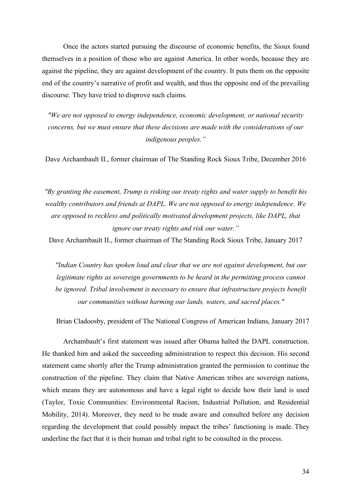Once the actors started pursuing the discourse of economic benefits, the Sioux found themselves in a position of those who are against America. In other words, because they are against the pipeline, they are against development of the country. It puts them on the opposite end of the country's narrative of profit and wealth, and thus the opposite end of the prevailing discourse. They have tried to disprove such claims.

*"We are not opposed to energy independence, economic development, or national security concerns, but we must ensure that these decisions are made with the considerations of our indigenous peoples."*

Dave Archambault II., former chairman of The Standing Rock Sioux Tribe, December 2016

*"By granting the easement, Trump is risking our treaty rights and water supply to benefit his wealthy contributors and friends at DAPL. We are not opposed to energy independence. We are opposed to reckless and politically motivated development projects, like DAPL, that ignore our treaty rights and risk our water."*

Dave Archambault II., former chairman of The Standing Rock Sioux Tribe, January 2017

*"Indian Country has spoken loud and clear that we are not against development, but our legitimate rights as sovereign governments to be heard in the permitting process cannot be ignored. Tribal involvement is necessary to ensure that infrastructure projects benefit our communities without harming our lands, waters, and sacred places."*

Brian Cladoosby, president of The National Congress of American Indians, January 2017

Archambault's first statement was issued after Obama halted the DAPL construction. He thanked him and asked the succeeding administration to respect this decision. His second statement came shortly after the Trump administration granted the permission to continue the construction of the pipeline. They claim that Native American tribes are sovereign nations, which means they are autonomous and have a legal right to decide how their land is used (Taylor, Toxic Communities: Environmental Racism, Industrial Pollution, and Residential Mobility, 2014). Moreover, they need to be made aware and consulted before any decision regarding the development that could possibly impact the tribes' functioning is made. They underline the fact that it is their human and tribal right to be consulted in the process.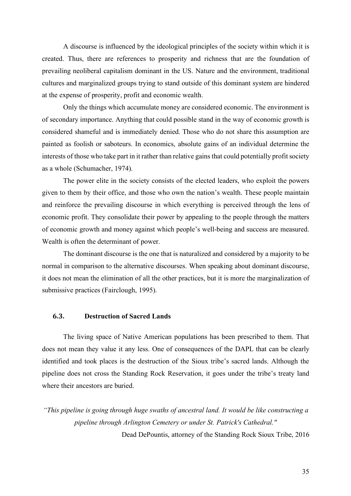A discourse is influenced by the ideological principles of the society within which it is created. Thus, there are references to prosperity and richness that are the foundation of prevailing neoliberal capitalism dominant in the US. Nature and the environment, traditional cultures and marginalized groups trying to stand outside of this dominant system are hindered at the expense of prosperity, profit and economic wealth.

Only the things which accumulate money are considered economic. The environment is of secondary importance. Anything that could possible stand in the way of economic growth is considered shameful and is immediately denied. Those who do not share this assumption are painted as foolish or saboteurs. In economics, absolute gains of an individual determine the interests of those who take part in it rather than relative gains that could potentially profit society as a whole (Schumacher, 1974).

The power elite in the society consists of the elected leaders, who exploit the powers given to them by their office, and those who own the nation's wealth. These people maintain and reinforce the prevailing discourse in which everything is perceived through the lens of economic profit. They consolidate their power by appealing to the people through the matters of economic growth and money against which people's well-being and success are measured. Wealth is often the determinant of power.

The dominant discourse is the one that is naturalized and considered by a majority to be normal in comparison to the alternative discourses. When speaking about dominant discourse, it does not mean the elimination of all the other practices, but it is more the marginalization of submissive practices (Fairclough, 1995).

### **6.3. Destruction of Sacred Lands**

The living space of Native American populations has been prescribed to them. That does not mean they value it any less. One of consequences of the DAPL that can be clearly identified and took places is the destruction of the Sioux tribe's sacred lands. Although the pipeline does not cross the Standing Rock Reservation, it goes under the tribe's treaty land where their ancestors are buried.

*"This pipeline is going through huge swaths of ancestral land. It would be like constructing a pipeline through Arlington Cemetery or under St. Patrick's Cathedral."* Dead DePountis, attorney of the Standing Rock Sioux Tribe, 2016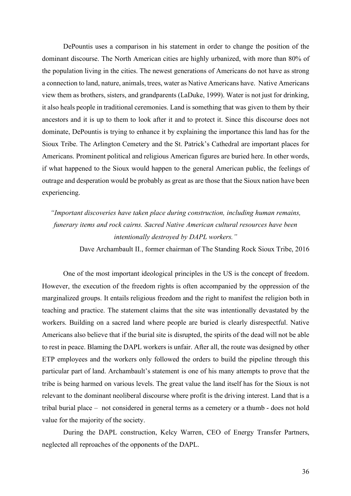DePountis uses a comparison in his statement in order to change the position of the dominant discourse. The North American cities are highly urbanized, with more than 80% of the population living in the cities. The newest generations of Americans do not have as strong a connection to land, nature, animals, trees, water as Native Americans have. Native Americans view them as brothers, sisters, and grandparents (LaDuke, 1999). Water is not just for drinking, it also heals people in traditional ceremonies. Land is something that was given to them by their ancestors and it is up to them to look after it and to protect it. Since this discourse does not dominate, DePountis is trying to enhance it by explaining the importance this land has for the Sioux Tribe. The Arlington Cemetery and the St. Patrick's Cathedral are important places for Americans. Prominent political and religious American figures are buried here. In other words, if what happened to the Sioux would happen to the general American public, the feelings of outrage and desperation would be probably as great as are those that the Sioux nation have been experiencing.

*"Important discoveries have taken place during construction, including human remains, funerary items and rock cairns. Sacred Native American cultural resources have been intentionally destroyed by DAPL workers."* Dave Archambault II., former chairman of The Standing Rock Sioux Tribe, 2016

One of the most important ideological principles in the US is the concept of freedom. However, the execution of the freedom rights is often accompanied by the oppression of the marginalized groups. It entails religious freedom and the right to manifest the religion both in teaching and practice. The statement claims that the site was intentionally devastated by the workers. Building on a sacred land where people are buried is clearly disrespectful. Native Americans also believe that if the burial site is disrupted, the spirits of the dead will not be able to rest in peace. Blaming the DAPL workers is unfair. After all, the route was designed by other ETP employees and the workers only followed the orders to build the pipeline through this particular part of land. Archambault's statement is one of his many attempts to prove that the tribe is being harmed on various levels. The great value the land itself has for the Sioux is not relevant to the dominant neoliberal discourse where profit is the driving interest. Land that is a tribal burial place – not considered in general terms as a cemetery or a thumb - does not hold value for the majority of the society.

During the DAPL construction, Kelcy Warren, CEO of Energy Transfer Partners, neglected all reproaches of the opponents of the DAPL.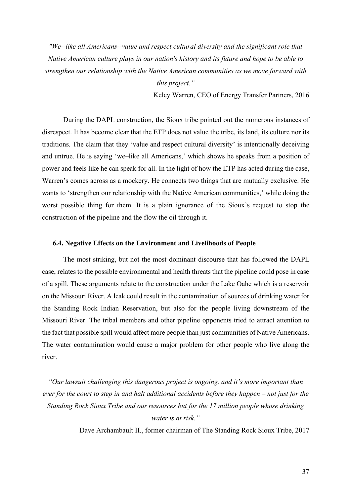*"We--like all Americans--value and respect cultural diversity and the significant role that Native American culture plays in our nation's history and its future and hope to be able to strengthen our relationship with the Native American communities as we move forward with this project."*

Kelcy Warren, CEO of Energy Transfer Partners, 2016

During the DAPL construction, the Sioux tribe pointed out the numerous instances of disrespect. It has become clear that the ETP does not value the tribe, its land, its culture nor its traditions. The claim that they 'value and respect cultural diversity' is intentionally deceiving and untrue. He is saying 'we–like all Americans,' which shows he speaks from a position of power and feels like he can speak for all. In the light of how the ETP has acted during the case, Warren's comes across as a mockery. He connects two things that are mutually exclusive. He wants to 'strengthen our relationship with the Native American communities,' while doing the worst possible thing for them. It is a plain ignorance of the Sioux's request to stop the construction of the pipeline and the flow the oil through it.

#### **6.4. Negative Effects on the Environment and Livelihoods of People**

The most striking, but not the most dominant discourse that has followed the DAPL case, relates to the possible environmental and health threats that the pipeline could pose in case of a spill. These arguments relate to the construction under the Lake Oahe which is a reservoir on the Missouri River. A leak could result in the contamination of sources of drinking water for the Standing Rock Indian Reservation, but also for the people living downstream of the Missouri River. The tribal members and other pipeline opponents tried to attract attention to the fact that possible spill would affect more people than just communities of Native Americans. The water contamination would cause a major problem for other people who live along the river.

*"Our lawsuit challenging this dangerous project is ongoing, and it's more important than ever for the court to step in and halt additional accidents before they happen – not just for the Standing Rock Sioux Tribe and our resources but for the 17 million people whose drinking water is at risk."* 

Dave Archambault II., former chairman of The Standing Rock Sioux Tribe, 2017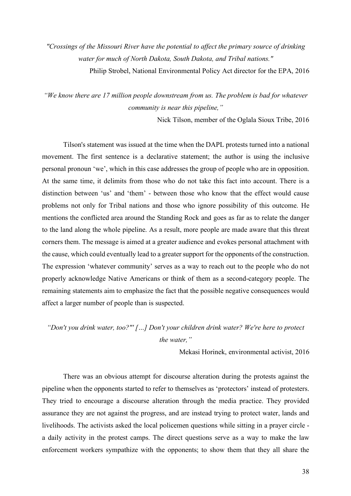*"Crossings of the Missouri River have the potential to affect the primary source of drinking water for much of North Dakota, South Dakota, and Tribal nations."* 

Philip Strobel, National Environmental Policy Act director for the EPA, 2016

*"We know there are 17 million people downstream from us. The problem is bad for whatever community is near this pipeline,"*

Nick Tilson, member of the Oglala Sioux Tribe, 2016

Tilson's statement was issued at the time when the DAPL protests turned into a national movement. The first sentence is a declarative statement; the author is using the inclusive personal pronoun 'we', which in this case addresses the group of people who are in opposition. At the same time, it delimits from those who do not take this fact into account. There is a distinction between 'us' and 'them' - between those who know that the effect would cause problems not only for Tribal nations and those who ignore possibility of this outcome. He mentions the conflicted area around the Standing Rock and goes as far as to relate the danger to the land along the whole pipeline. As a result, more people are made aware that this threat corners them. The message is aimed at a greater audience and evokes personal attachment with the cause, which could eventually lead to a greater support for the opponents of the construction. The expression 'whatever community' serves as a way to reach out to the people who do not properly acknowledge Native Americans or think of them as a second-category people. The remaining statements aim to emphasize the fact that the possible negative consequences would affect a larger number of people than is suspected.

*"Don't you drink water, too?"' […] Don't your children drink water? We're here to protect the water,"*

Mekasi Horinek, environmental activist, 2016

There was an obvious attempt for discourse alteration during the protests against the pipeline when the opponents started to refer to themselves as 'protectors' instead of protesters. They tried to encourage a discourse alteration through the media practice. They provided assurance they are not against the progress, and are instead trying to protect water, lands and livelihoods. The activists asked the local policemen questions while sitting in a prayer circle a daily activity in the protest camps. The direct questions serve as a way to make the law enforcement workers sympathize with the opponents; to show them that they all share the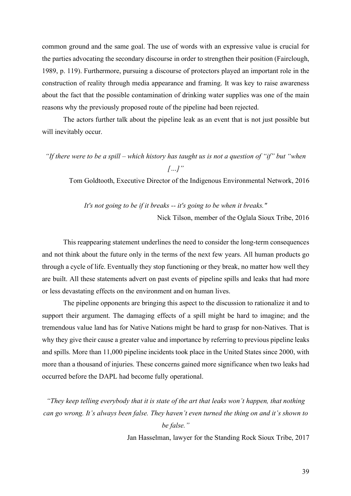common ground and the same goal. The use of words with an expressive value is crucial for the parties advocating the secondary discourse in order to strengthen their position (Fairclough, 1989, p. 119). Furthermore, pursuing a discourse of protectors played an important role in the construction of reality through media appearance and framing. It was key to raise awareness about the fact that the possible contamination of drinking water supplies was one of the main reasons why the previously proposed route of the pipeline had been rejected.

The actors further talk about the pipeline leak as an event that is not just possible but will inevitably occur.

*"If there were to be a spill – which history has taught us is not a question of "if" but "when […]"*

Tom Goldtooth, Executive Director of the Indigenous Environmental Network, 2016

*It's not going to be if it breaks -- it's going to be when it breaks."* Nick Tilson, member of the Oglala Sioux Tribe, 2016

This reappearing statement underlines the need to consider the long-term consequences and not think about the future only in the terms of the next few years. All human products go through a cycle of life. Eventually they stop functioning or they break, no matter how well they are built. All these statements advert on past events of pipeline spills and leaks that had more or less devastating effects on the environment and on human lives.

The pipeline opponents are bringing this aspect to the discussion to rationalize it and to support their argument. The damaging effects of a spill might be hard to imagine; and the tremendous value land has for Native Nations might be hard to grasp for non-Natives. That is why they give their cause a greater value and importance by referring to previous pipeline leaks and spills. More than 11,000 pipeline incidents took place in the United States since 2000, with more than a thousand of injuries. These concerns gained more significance when two leaks had occurred before the DAPL had become fully operational.

*"They keep telling everybody that it is state of the art that leaks won't happen, that nothing can go wrong. It's always been false. They haven't even turned the thing on and it's shown to be false."*

Jan Hasselman, lawyer for the Standing Rock Sioux Tribe, 2017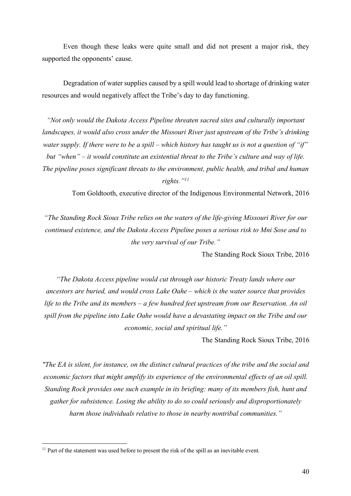Even though these leaks were quite small and did not present a major risk, they supported the opponents' cause.

Degradation of water supplies caused by a spill would lead to shortage of drinking water resources and would negatively affect the Tribe's day to day functioning.

*"Not only would the Dakota Access Pipeline threaten sacred sites and culturally important landscapes, it would also cross under the Missouri River just upstream of the Tribe's drinking water supply. If there were to be a spill – which history has taught us is not a question of "if" but "when" – it would constitute an existential threat to the Tribe's culture and way of life. The pipeline poses significant threats to the environment, public health, and tribal and human rights."11*

Tom Goldtooth, executive director of the Indigenous Environmental Network, 2016

*"The Standing Rock Sioux Tribe relies on the waters of the life-giving Missouri River for our continued existence, and the Dakota Access Pipeline poses a serious risk to Mni Sose and to the very survival of our Tribe."* 

The Standing Rock Sioux Tribe, 2016

*"The Dakota Access pipeline would cut through our historic Treaty lands where our ancestors are buried, and would cross Lake Oahe – which is the water source that provides life to the Tribe and its members – a few hundred feet upstream from our Reservation. An oil spill from the pipeline into Lake Oahe would have a devastating impact on the Tribe and our economic, social and spiritual life."*

The Standing Rock Sioux Tribe, 2016

*"The EA is silent, for instance, on the distinct cultural practices of the tribe and the social and economic factors that might amplify its experience of the environmental effects of an oil spill. Standing Rock provides one such example in its briefing: many of its members fish, hunt and gather for subsistence. Losing the ability to do so could seriously and disproportionately harm those individuals relative to those in nearby nontribal communities."*

 $11$  Part of the statement was used before to present the risk of the spill as an inevitable event.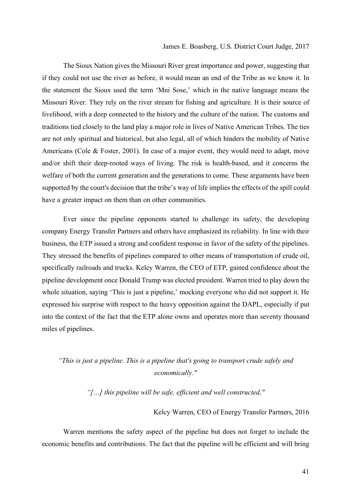### James E. Boasberg, U.S. District Court Judge, 2017

The Sioux Nation gives the Missouri River great importance and power, suggesting that if they could not use the river as before, it would mean an end of the Tribe as we know it. In the statement the Sioux used the term 'Mni Sose,' which in the native language means the Missouri River. They rely on the river stream for fishing and agriculture. It is their source of livelihood, with a deep connected to the history and the culture of the nation. The customs and traditions tied closely to the land play a major role in lives of Native American Tribes. The ties are not only spiritual and historical, but also legal, all of which hinders the mobility of Native Americans (Cole & Foster, 2001). In case of a major event, they would need to adapt, move and/or shift their deep-rooted ways of living. The risk is health-based, and it concerns the welfare of both the current generation and the generations to come. These arguments have been supported by the court's decision that the tribe's way of life implies the effects of the spill could have a greater impact on them than on other communities.

Ever since the pipeline opponents started to challenge its safety, the developing company Energy Transfer Partners and others have emphasized its reliability. In line with their business, the ETP issued a strong and confident response in favor of the safety of the pipelines. They stressed the benefits of pipelines compared to other means of transportation of crude oil, specifically railroads and trucks. Kelcy Warren, the CEO of ETP, gained confidence about the pipeline development once Donald Trump was elected president. Warren tried to play down the whole situation, saying 'This is just a pipeline,' mocking everyone who did not support it. He expressed his surprise with respect to the heavy opposition against the DAPL, especially if put into the context of the fact that the ETP alone owns and operates more than seventy thousand miles of pipelines.

### *"This is just a pipeline. This is a pipeline that's going to transport crude safely and economically."*

*"[…] this pipeline will be safe, efficient and well constructed,"*

### Kelcy Warren, CEO of Energy Transfer Partners, 2016

Warren mentions the safety aspect of the pipeline but does not forget to include the economic benefits and contributions. The fact that the pipeline will be efficient and will bring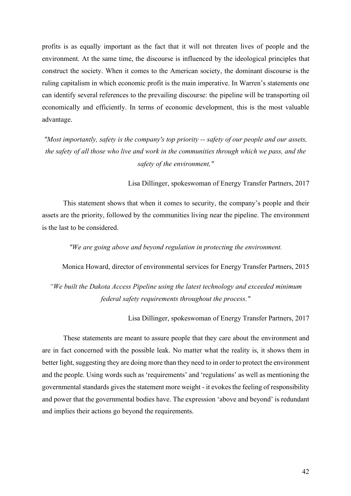profits is as equally important as the fact that it will not threaten lives of people and the environment. At the same time, the discourse is influenced by the ideological principles that construct the society. When it comes to the American society, the dominant discourse is the ruling capitalism in which economic profit is the main imperative. In Warren's statements one can identify several references to the prevailing discourse: the pipeline will be transporting oil economically and efficiently. In terms of economic development, this is the most valuable advantage.

*"Most importantly, safety is the company's top priority -- safety of our people and our assets, the safety of all those who live and work in the communities through which we pass, and the safety of the environment,"*

Lisa Dillinger, spokeswoman of Energy Transfer Partners, 2017

This statement shows that when it comes to security, the company's people and their assets are the priority, followed by the communities living near the pipeline. The environment is the last to be considered.

*"We are going above and beyond regulation in protecting the environment.*

Monica Howard, director of environmental services for Energy Transfer Partners, 2015

*"We built the Dakota Access Pipeline using the latest technology and exceeded minimum federal safety requirements throughout the process."*

Lisa Dillinger, spokeswoman of Energy Transfer Partners, 2017

These statements are meant to assure people that they care about the environment and are in fact concerned with the possible leak. No matter what the reality is, it shows them in better light, suggesting they are doing more than they need to in order to protect the environment and the people. Using words such as 'requirements' and 'regulations' as well as mentioning the governmental standards gives the statement more weight - it evokes the feeling of responsibility and power that the governmental bodies have. The expression 'above and beyond' is redundant and implies their actions go beyond the requirements.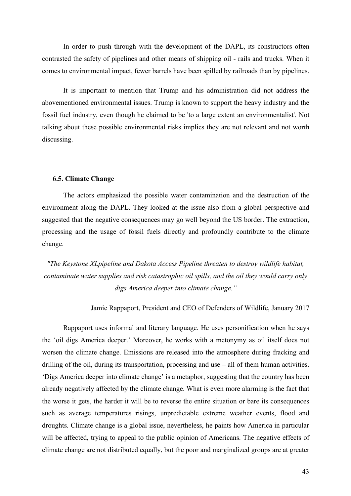In order to push through with the development of the DAPL, its constructors often contrasted the safety of pipelines and other means of shipping oil - rails and trucks. When it comes to environmental impact, fewer barrels have been spilled by railroads than by pipelines.

It is important to mention that Trump and his administration did not address the abovementioned environmental issues. Trump is known to support the heavy industry and the fossil fuel industry, even though he claimed to be 'to a large extent an environmentalist'. Not talking about these possible environmental risks implies they are not relevant and not worth discussing.

### **6.5. Climate Change**

The actors emphasized the possible water contamination and the destruction of the environment along the DAPL. They looked at the issue also from a global perspective and suggested that the negative consequences may go well beyond the US border. The extraction, processing and the usage of fossil fuels directly and profoundly contribute to the climate change.

*"The Keystone XLpipeline and Dakota Access Pipeline threaten to destroy wildlife habitat, contaminate water supplies and risk catastrophic oil spills, and the oil they would carry only digs America deeper into climate change."*

Jamie Rappaport, President and CEO of Defenders of Wildlife, January 2017

Rappaport uses informal and literary language. He uses personification when he says the 'oil digs America deeper.' Moreover, he works with a metonymy as oil itself does not worsen the climate change. Emissions are released into the atmosphere during fracking and drilling of the oil, during its transportation, processing and use – all of them human activities. 'Digs America deeper into climate change' is a metaphor, suggesting that the country has been already negatively affected by the climate change. What is even more alarming is the fact that the worse it gets, the harder it will be to reverse the entire situation or bare its consequences such as average temperatures risings, unpredictable extreme weather events, flood and droughts. Climate change is a global issue, nevertheless, he paints how America in particular will be affected, trying to appeal to the public opinion of Americans. The negative effects of climate change are not distributed equally, but the poor and marginalized groups are at greater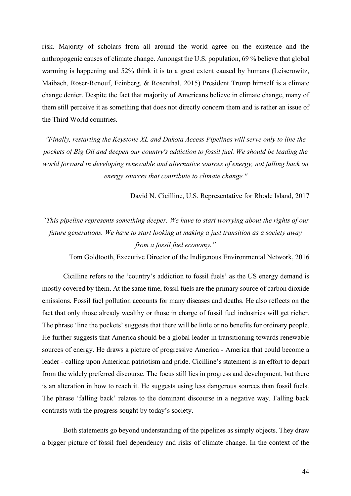risk. Majority of scholars from all around the world agree on the existence and the anthropogenic causes of climate change. Amongst the U.S. population, 69 % believe that global warming is happening and 52% think it is to a great extent caused by humans (Leiserowitz, Maibach, Roser-Renouf, Feinberg, & Rosenthal, 2015) President Trump himself is a climate change denier. Despite the fact that majority of Americans believe in climate change, many of them still perceive it as something that does not directly concern them and is rather an issue of the Third World countries.

*"Finally, restarting the Keystone XL and Dakota Access Pipelines will serve only to line the pockets of Big Oil and deepen our country's addiction to fossil fuel. We should be leading the world forward in developing renewable and alternative sources of energy, not falling back on energy sources that contribute to climate change."*

David N. Cicilline, U.S. Representative for Rhode Island, 2017

# *"This pipeline represents something deeper. We have to start worrying about the rights of our future generations. We have to start looking at making a just transition as a society away from a fossil fuel economy."*

Tom Goldtooth, Executive Director of the Indigenous Environmental Network, 2016

Cicilline refers to the 'country's addiction to fossil fuels' as the US energy demand is mostly covered by them. At the same time, fossil fuels are the primary source of carbon dioxide emissions. Fossil fuel pollution accounts for many diseases and deaths. He also reflects on the fact that only those already wealthy or those in charge of fossil fuel industries will get richer. The phrase 'line the pockets' suggests that there will be little or no benefits for ordinary people. He further suggests that America should be a global leader in transitioning towards renewable sources of energy. He draws a picture of progressive America - America that could become a leader - calling upon American patriotism and pride. Cicilline's statement is an effort to depart from the widely preferred discourse. The focus still lies in progress and development, but there is an alteration in how to reach it. He suggests using less dangerous sources than fossil fuels. The phrase 'falling back' relates to the dominant discourse in a negative way. Falling back contrasts with the progress sought by today's society.

Both statements go beyond understanding of the pipelines as simply objects. They draw a bigger picture of fossil fuel dependency and risks of climate change. In the context of the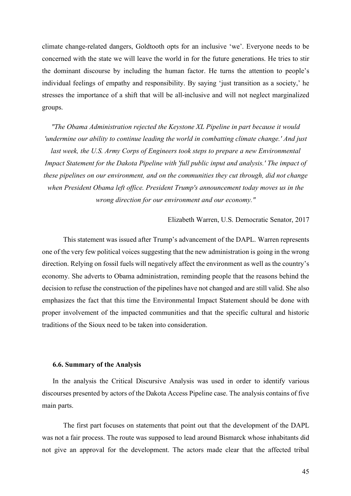climate change-related dangers, Goldtooth opts for an inclusive 'we'. Everyone needs to be concerned with the state we will leave the world in for the future generations. He tries to stir the dominant discourse by including the human factor. He turns the attention to people's individual feelings of empathy and responsibility. By saying 'just transition as a society,' he stresses the importance of a shift that will be all-inclusive and will not neglect marginalized groups.

*"The Obama Administration rejected the Keystone XL Pipeline in part because it would 'undermine our ability to continue leading the world in combatting climate change.' And just last week, the U.S. Army Corps of Engineers took steps to prepare a new Environmental Impact Statement for the Dakota Pipeline with 'full public input and analysis.' The impact of these pipelines on our environment, and on the communities they cut through, did not change when President Obama left office. President Trump's announcement today moves us in the wrong direction for our environment and our economy."*

Elizabeth Warren, U.S. Democratic Senator, 2017

This statement was issued after Trump's advancement of the DAPL. Warren represents one of the very few political voices suggesting that the new administration is going in the wrong direction. Relying on fossil fuels will negatively affect the environment as well as the country's economy. She adverts to Obama administration, reminding people that the reasons behind the decision to refuse the construction of the pipelines have not changed and are still valid. She also emphasizes the fact that this time the Environmental Impact Statement should be done with proper involvement of the impacted communities and that the specific cultural and historic traditions of the Sioux need to be taken into consideration.

### **6.6. Summary of the Analysis**

In the analysis the Critical Discursive Analysis was used in order to identify various discourses presented by actors of the Dakota Access Pipeline case. The analysis contains of five main parts.

The first part focuses on statements that point out that the development of the DAPL was not a fair process. The route was supposed to lead around Bismarck whose inhabitants did not give an approval for the development. The actors made clear that the affected tribal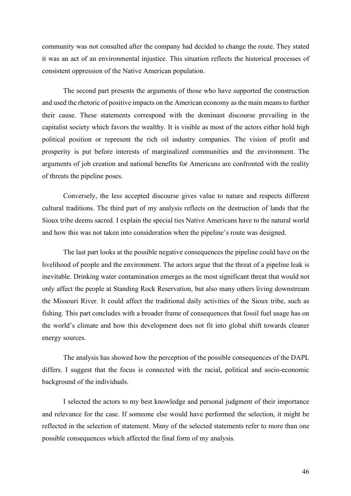community was not consulted after the company had decided to change the route. They stated it was an act of an environmental injustice. This situation reflects the historical processes of consistent oppression of the Native American population.

The second part presents the arguments of those who have supported the construction and used the rhetoric of positive impacts on the American economy as the main means to further their cause. These statements correspond with the dominant discourse prevailing in the capitalist society which favors the wealthy. It is visible as most of the actors either hold high political position or represent the rich oil industry companies. The vision of profit and prosperity is put before interests of marginalized communities and the environment. The arguments of job creation and national benefits for Americans are confronted with the reality of threats the pipeline poses.

Conversely, the less accepted discourse gives value to nature and respects different cultural traditions. The third part of my analysis reflects on the destruction of lands that the Sioux tribe deems sacred. I explain the special ties Native Americans have to the natural world and how this was not taken into consideration when the pipeline's route was designed.

The last part looks at the possible negative consequences the pipeline could have on the livelihood of people and the environment. The actors argue that the threat of a pipeline leak is inevitable. Drinking water contamination emerges as the most significant threat that would not only affect the people at Standing Rock Reservation, but also many others living downstream the Missouri River. It could affect the traditional daily activities of the Sioux tribe, such as fishing. This part concludes with a broader frame of consequences that fossil fuel usage has on the world's climate and how this development does not fit into global shift towards cleaner energy sources.

The analysis has showed how the perception of the possible consequences of the DAPL differs. I suggest that the focus is connected with the racial, political and socio-economic background of the individuals.

I selected the actors to my best knowledge and personal judgment of their importance and relevance for the case. If someone else would have performed the selection, it might be reflected in the selection of statement. Many of the selected statements refer to more than one possible consequences which affected the final form of my analysis.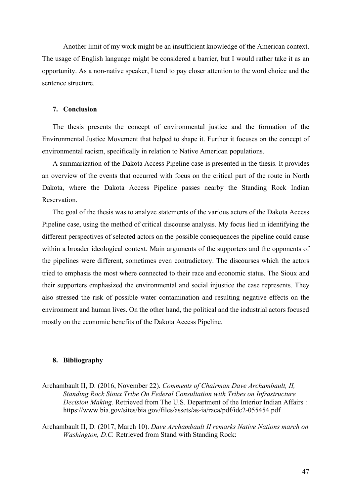Another limit of my work might be an insufficient knowledge of the American context. The usage of English language might be considered a barrier, but I would rather take it as an opportunity. As a non-native speaker, I tend to pay closer attention to the word choice and the sentence structure.

### **7. Conclusion**

The thesis presents the concept of environmental justice and the formation of the Environmental Justice Movement that helped to shape it. Further it focuses on the concept of environmental racism, specifically in relation to Native American populations.

A summarization of the Dakota Access Pipeline case is presented in the thesis. It provides an overview of the events that occurred with focus on the critical part of the route in North Dakota, where the Dakota Access Pipeline passes nearby the Standing Rock Indian **Reservation** 

The goal of the thesis was to analyze statements of the various actors of the Dakota Access Pipeline case, using the method of critical discourse analysis. My focus lied in identifying the different perspectives of selected actors on the possible consequences the pipeline could cause within a broader ideological context. Main arguments of the supporters and the opponents of the pipelines were different, sometimes even contradictory. The discourses which the actors tried to emphasis the most where connected to their race and economic status. The Sioux and their supporters emphasized the environmental and social injustice the case represents. They also stressed the risk of possible water contamination and resulting negative effects on the environment and human lives. On the other hand, the political and the industrial actors focused mostly on the economic benefits of the Dakota Access Pipeline.

### **8. Bibliography**

Archambault II, D. (2016, November 22). *Comments of Chairman Dave Archambault, II, Standing Rock Sioux Tribe On Federal Consultation with Tribes on Infrastructure Decision Making.* Retrieved from The U.S. Department of the Interior Indian Affairs : https://www.bia.gov/sites/bia.gov/files/assets/as-ia/raca/pdf/idc2-055454.pdf

Archambault II, D. (2017, March 10). *Dave Archambault II remarks Native Nations march on Washington, D.C.* Retrieved from Stand with Standing Rock: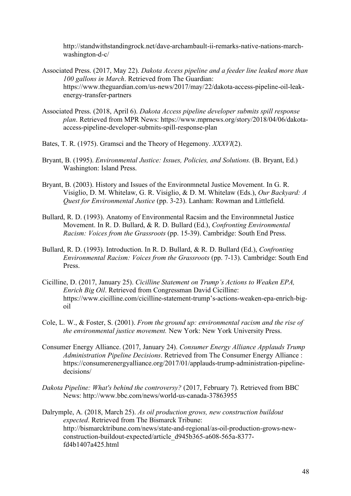http://standwithstandingrock.net/dave-archambault-ii-remarks-native-nations-marchwashington-d-c/

- Associated Press. (2017, May 22). *Dakota Access pipeline and a feeder line leaked more than 100 gallons in March*. Retrieved from The Guardian: https://www.theguardian.com/us-news/2017/may/22/dakota-access-pipeline-oil-leakenergy-transfer-partners
- Associated Press. (2018, April 6). *Dakota Access pipeline developer submits spill response plan*. Retrieved from MPR News: https://www.mprnews.org/story/2018/04/06/dakotaaccess-pipeline-developer-submits-spill-response-plan
- Bates, T. R. (1975). Gramsci and the Theory of Hegemony. *XXXVI*(2).
- Bryant, B. (1995). *Environmental Justice: Issues, Policies, and Solutions.* (B. Bryant, Ed.) Washington: Island Press.
- Bryant, B. (2003). History and Issues of the Environmnetal Justice Movement. In G. R. Visiglio, D. M. Whitelaw, G. R. Visiglio, & D. M. Whitelaw (Eds.), *Our Backyard: A Quest for Environmental Justice* (pp. 3-23). Lanham: Rowman and Littlefield.
- Bullard, R. D. (1993). Anatomy of Environmental Racsim and the Environmnetal Justice Movement. In R. D. Bullard, & R. D. Bullard (Ed.), *Confronting Environmental Racism: Voices from the Grassroots* (pp. 15-39). Cambridge: South End Press.
- Bullard, R. D. (1993). Introduction. In R. D. Bullard, & R. D. Bullard (Ed.), *Confronting Environmental Racism: Voices from the Grassroots* (pp. 7-13). Cambridge: South End Press.
- Cicilline, D. (2017, January 25). *Cicilline Statement on Trump's Actions to Weaken EPA, Enrich Big Oil*. Retrieved from Congressman David Cicilline: https://www.cicilline.com/cicilline-statement-trump's-actions-weaken-epa-enrich-bigoil
- Cole, L. W., & Foster, S. (2001). *From the ground up: environmental racism and the rise of the environmental justice movement.* New York: New York University Press.
- Consumer Energy Alliance. (2017, January 24). *Consumer Energy Alliance Applauds Trump Administration Pipeline Decisions*. Retrieved from The Consumer Energy Alliance : https://consumerenergyalliance.org/2017/01/applauds-trump-administration-pipelinedecisions/
- *Dakota Pipeline: What's behind the controversy?* (2017, February 7). Retrieved from BBC News: http://www.bbc.com/news/world-us-canada-37863955
- Dalrymple, A. (2018, March 25). *As oil production grows, new construction buildout expected*. Retrieved from The Bismarck Tribune: http://bismarcktribune.com/news/state-and-regional/as-oil-production-grows-newconstruction-buildout-expected/article\_d945b365-a608-565a-8377 fd4b1407a425.html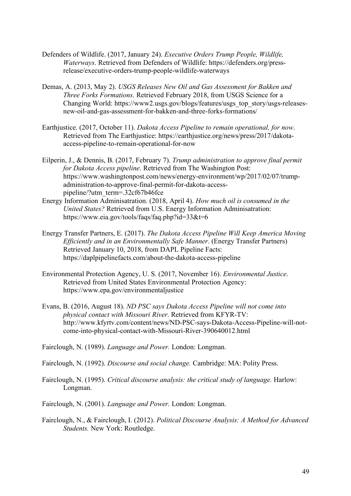- Defenders of Wildlife. (2017, January 24). *Executive Orders Trump People, Wildlife, Waterways*. Retrieved from Defenders of Wildlife: https://defenders.org/pressrelease/executive-orders-trump-people-wildlife-waterways
- Demas, A. (2013, May 2). *USGS Releases New Oil and Gas Assessment for Bakken and Three Forks Formations*. Retrieved February 2018, from USGS Science for a Changing World: https://www2.usgs.gov/blogs/features/usgs\_top\_story/usgs-releasesnew-oil-and-gas-assessment-for-bakken-and-three-forks-formations/
- Earthjustice. (2017, October 11). *Dakota Access Pipeline to remain operational, for now*. Retrieved from The Earthjustice: https://earthjustice.org/news/press/2017/dakotaaccess-pipeline-to-remain-operational-for-now
- Eilperin, J., & Dennis, B. (2017, February 7). *Trump administration to approve final permit for Dakota Access pipeline*. Retrieved from The Washington Post: https://www.washingtonpost.com/news/energy-environment/wp/2017/02/07/trumpadministration-to-approve-final-permit-for-dakota-accesspipeline/?utm\_term=.32cf67b46fce
- Energy Information Adminisatration. (2018, April 4). *How much oil is consumed in the United States?* Retrieved from U.S. Energy Information Adminisatration: https://www.eia.gov/tools/faqs/faq.php?id=33&t=6
- Energy Transfer Partners, E. (2017). *The Dakota Access Pipeline Will Keep America Moving Efficiently and in an Environmentally Safe Manner*. (Energy Transfer Partners) Retrieved January 10, 2018, from DAPL Pipeline Facts: https://daplpipelinefacts.com/about-the-dakota-access-pipeline
- Environmental Protection Agency, U. S. (2017, November 16). *Environmental Justice*. Retrieved from United States Environmental Protection Agency: https://www.epa.gov/environmentaljustice
- Evans, B. (2016, August 18). *ND PSC says Dakota Access Pipeline will not come into physical contact with Missouri River*. Retrieved from KFYR-TV: http://www.kfyrtv.com/content/news/ND-PSC-says-Dakota-Access-Pipeline-will-notcome-into-physical-contact-with-Missouri-River-390640012.html

Fairclough, N. (1989). *Language and Power.* London: Longman.

Fairclough, N. (1992). *Discourse and social change.* Cambridge: MA: Polity Press.

Fairclough, N. (1995). *Critical discourse analysis: the critical study of language.* Harlow: Longman.

Fairclough, N. (2001). *Language and Power.* London: Longman.

Fairclough, N., & Fairclough, I. (2012). *Political Discourse Analysis: A Method for Advanced Students.* New York: Routledge.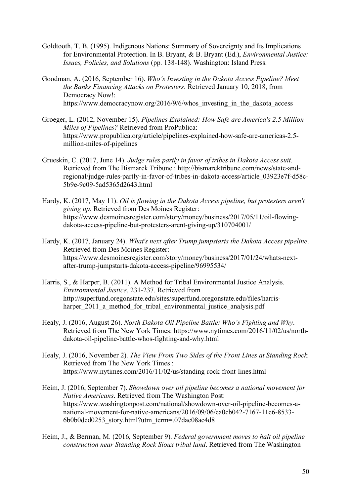- Goldtooth, T. B. (1995). Indigenous Nations: Summary of Sovereignty and Its Implications for Environmental Protection. In B. Bryant, & B. Bryant (Ed.), *Environmental Justice: Issues, Policies, and Solutions* (pp. 138-148). Washington: Island Press.
- Goodman, A. (2016, September 16). *Who's Investing in the Dakota Access Pipeline? Meet the Banks Financing Attacks on Protesters*. Retrieved January 10, 2018, from Democracy Now!: https://www.democracynow.org/2016/9/6/whos investing in the dakota access
- Groeger, L. (2012, November 15). *Pipelines Explained: How Safe are America's 2.5 Million Miles of Pipelines?* Retrieved from ProPublica: https://www.propublica.org/article/pipelines-explained-how-safe-are-americas-2.5 million-miles-of-pipelines
- Grueskin, C. (2017, June 14). *Judge rules partly in favor of tribes in Dakota Access suit*. Retrieved from The Bismarck Tribune : http://bismarcktribune.com/news/state-andregional/judge-rules-partly-in-favor-of-tribes-in-dakota-access/article\_03923e7f-d58c-5b9e-9c09-5ad5365d2643.html
- Hardy, K. (2017, May 11). *Oil is flowing in the Dakota Access pipeline, but protesters aren't giving up*. Retrieved from Des Moines Register: https://www.desmoinesregister.com/story/money/business/2017/05/11/oil-flowingdakota-access-pipeline-but-protesters-arent-giving-up/310704001/
- Hardy, K. (2017, January 24). *What's next after Trump jumpstarts the Dakota Access pipeline*. Retrieved from Des Moines Register: https://www.desmoinesregister.com/story/money/business/2017/01/24/whats-nextafter-trump-jumpstarts-dakota-access-pipeline/96995534/
- Harris, S., & Harper, B. (2011). A Method for Tribal Environmental Justice Analysis. *Environmental Justice*, 231-237. Retrieved from http://superfund.oregonstate.edu/sites/superfund.oregonstate.edu/files/harrisharper 2011 a method for tribal environmental justice analysis.pdf
- Healy, J. (2016, August 26). *North Dakota Oil Pipeline Battle: Who's Fighting and Why*. Retrieved from The New York Times: https://www.nytimes.com/2016/11/02/us/northdakota-oil-pipeline-battle-whos-fighting-and-why.html
- Healy, J. (2016, November 2). *The View From Two Sides of the Front Lines at Standing Rock.* Retrieved from The New York Times : https://www.nytimes.com/2016/11/02/us/standing-rock-front-lines.html
- Heim, J. (2016, September 7). *Showdown over oil pipeline becomes a national movement for Native Americans*. Retrieved from The Washington Post: https://www.washingtonpost.com/national/showdown-over-oil-pipeline-becomes-anational-movement-for-native-americans/2016/09/06/ea0cb042-7167-11e6-8533- 6b0b0ded0253\_story.html?utm\_term=.07dae08ac4d8
- Heim, J., & Berman, M. (2016, September 9). *Federal government moves to halt oil pipeline construction near Standing Rock Sioux tribal land*. Retrieved from The Washington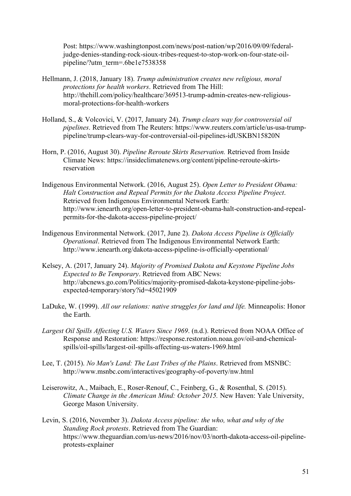Post: https://www.washingtonpost.com/news/post-nation/wp/2016/09/09/federaljudge-denies-standing-rock-sioux-tribes-request-to-stop-work-on-four-state-oilpipeline/?utm\_term=.6be1e7538358

- Hellmann, J. (2018, January 18). *Trump administration creates new religious, moral protections for health workers*. Retrieved from The Hill: http://thehill.com/policy/healthcare/369513-trump-admin-creates-new-religiousmoral-protections-for-health-workers
- Holland, S., & Volcovici, V. (2017, January 24). *Trump clears way for controversial oil pipelines*. Retrieved from The Reuters: https://www.reuters.com/article/us-usa-trumppipeline/trump-clears-way-for-controversial-oil-pipelines-idUSKBN15820N
- Horn, P. (2016, August 30). *Pipeline Reroute Skirts Reservation.* Retrieved from Inside Climate News: https://insideclimatenews.org/content/pipeline-reroute-skirtsreservation
- Indigenous Environmental Network. (2016, August 25). *Open Letter to President Obama: Halt Construction and Repeal Permits for the Dakota Access Pipeline Project*. Retrieved from Indigenous Environmental Network Earth: http://www.ienearth.org/open-letter-to-president-obama-halt-construction-and-repealpermits-for-the-dakota-access-pipeline-project/
- Indigenous Environmental Network. (2017, June 2). *Dakota Access Pipeline is Officially Operational*. Retrieved from The Indigenous Environmental Network Earth: http://www.ienearth.org/dakota-access-pipeline-is-officially-operational/
- Kelsey, A. (2017, January 24). *Majority of Promised Dakota and Keystone Pipeline Jobs Expected to Be Temporary*. Retrieved from ABC News: http://abcnews.go.com/Politics/majority-promised-dakota-keystone-pipeline-jobsexpected-temporary/story?id=45021909
- LaDuke, W. (1999). *All our relations: native struggles for land and life.* Minneapolis: Honor the Earth.
- *Largest Oil Spills Affecting U.S. Waters Since 1969*. (n.d.). Retrieved from NOAA Office of Response and Restoration: https://response.restoration.noaa.gov/oil-and-chemicalspills/oil-spills/largest-oil-spills-affecting-us-waters-1969.html
- Lee, T. (2015). *No Man's Land: The Last Tribes of the Plains*. Retrieved from MSNBC: http://www.msnbc.com/interactives/geography-of-poverty/nw.html
- Leiserowitz, A., Maibach, E., Roser-Renouf, C., Feinberg, G., & Rosenthal, S. (2015). *Climate Change in the American Mind: October 2015.* New Haven: Yale University, George Mason University.
- Levin, S. (2016, November 3). *Dakota Access pipeline: the who, what and why of the Standing Rock protests*. Retrieved from The Guardian: https://www.theguardian.com/us-news/2016/nov/03/north-dakota-access-oil-pipelineprotests-explainer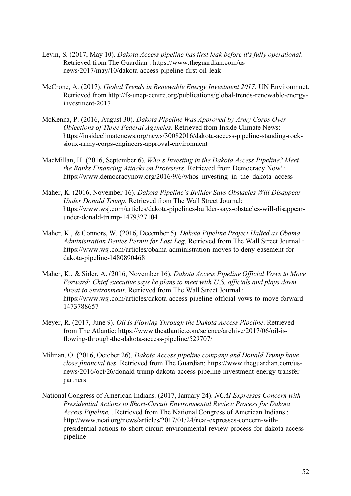- Levin, S. (2017, May 10). *Dakota Access pipeline has first leak before it's fully operational*. Retrieved from The Guardian : https://www.theguardian.com/usnews/2017/may/10/dakota-access-pipeline-first-oil-leak
- McCrone, A. (2017). *Global Trends in Renewable Energy Investment 2017.* UN Environmnet. Retrieved from http://fs-unep-centre.org/publications/global-trends-renewable-energyinvestment-2017
- McKenna, P. (2016, August 30). *Dakota Pipeline Was Approved by Army Corps Over Objections of Three Federal Agencies*. Retrieved from Inside Climate News: https://insideclimatenews.org/news/30082016/dakota-access-pipeline-standing-rocksioux-army-corps-engineers-approval-environment
- MacMillan, H. (2016, September 6). *Who's Investing in the Dakota Access Pipeline? Meet the Banks Financing Attacks on Protesters*. Retrieved from Democracy Now!: https://www.democracynow.org/2016/9/6/whos investing in the dakota access
- Maher, K. (2016, November 16). *Dakota Pipeline's Builder Says Obstacles Will Disappear Under Donald Trump*. Retrieved from The Wall Street Journal: https://www.wsj.com/articles/dakota-pipelines-builder-says-obstacles-will-disappearunder-donald-trump-1479327104
- Maher, K., & Connors, W. (2016, December 5). *Dakota Pipeline Project Halted as Obama Administration Denies Permit for Last Leg*. Retrieved from The Wall Street Journal : https://www.wsj.com/articles/obama-administration-moves-to-deny-easement-fordakota-pipeline-1480890468
- Maher, K., & Sider, A. (2016, November 16). *Dakota Access Pipeline Official Vows to Move Forward; Chief executive says he plans to meet with U.S. officials and plays down threat to environment*. Retrieved from The Wall Street Journal : https://www.wsj.com/articles/dakota-access-pipeline-official-vows-to-move-forward-1473788657
- Meyer, R. (2017, June 9). *Oil Is Flowing Through the Dakota Access Pipeline*. Retrieved from The Atlantic: https://www.theatlantic.com/science/archive/2017/06/oil-isflowing-through-the-dakota-access-pipeline/529707/
- Milman, O. (2016, October 26). *Dakota Access pipeline company and Donald Trump have close financial ties*. Retrieved from The Guardian: https://www.theguardian.com/usnews/2016/oct/26/donald-trump-dakota-access-pipeline-investment-energy-transferpartners
- National Congress of American Indians. (2017, January 24). *NCAI Expresses Concern with Presidential Actions to Short-Circuit Environmental Review Process for Dakota Access Pipeline.* . Retrieved from The National Congress of American Indians : http://www.ncai.org/news/articles/2017/01/24/ncai-expresses-concern-withpresidential-actions-to-short-circuit-environmental-review-process-for-dakota-accesspipeline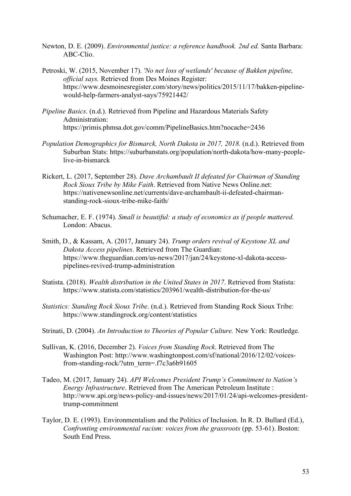- Newton, D. E. (2009). *Environmental justice: a reference handbook. 2nd ed.* Santa Barbara: ABC-Clio.
- Petroski, W. (2015, November 17). *'No net loss of wetlands' because of Bakken pipeline, official says.* Retrieved from Des Moines Register: https://www.desmoinesregister.com/story/news/politics/2015/11/17/bakken-pipelinewould-help-farmers-analyst-says/75921442/
- *Pipeline Basics*. (n.d.). Retrieved from Pipeline and Hazardous Materials Safety Administration: https://primis.phmsa.dot.gov/comm/PipelineBasics.htm?nocache=2436
- *Population Demographics for Bismarck, North Dakota in 2017, 2018*. (n.d.). Retrieved from Suburban Stats: https://suburbanstats.org/population/north-dakota/how-many-peoplelive-in-bismarck
- Rickert, L. (2017, September 28). *Dave Archambault II defeated for Chairman of Standing Rock Sioux Tribe by Mike Faith*. Retrieved from Native News Online.net: https://nativenewsonline.net/currents/dave-archambault-ii-defeated-chairmanstanding-rock-sioux-tribe-mike-faith/
- Schumacher, E. F. (1974). *Small is beautiful: a study of economics as if people mattered.* London: Abacus.
- Smith, D., & Kassam, A. (2017, January 24). *Trump orders revival of Keystone XL and Dakota Access pipelines*. Retrieved from The Guardian: https://www.theguardian.com/us-news/2017/jan/24/keystone-xl-dakota-accesspipelines-revived-trump-administration
- Statista. (2018). *Wealth distribution in the United States in 2017*. Retrieved from Statista: https://www.statista.com/statistics/203961/wealth-distribution-for-the-us/
- *Statistics: Standing Rock Sioux Tribe*. (n.d.). Retrieved from Standing Rock Sioux Tribe: https://www.standingrock.org/content/statistics
- Strinati, D. (2004). *An Introduction to Theories of Popular Culture.* New York: Routledge.
- Sullivan, K. (2016, December 2). *Voices from Standing Rock*. Retrieved from The Washington Post: http://www.washingtonpost.com/sf/national/2016/12/02/voicesfrom-standing-rock/?utm\_term=.f7c3a6b91605
- Tadeo, M. (2017, January 24). *API Welcomes President Trump's Commitment to Nation's Energy Infrastructure*. Retrieved from The American Petroleum Institute : http://www.api.org/news-policy-and-issues/news/2017/01/24/api-welcomes-presidenttrump-commitment
- Taylor, D. E. (1993). Environmentalism and the Politics of Inclusion. In R. D. Bullard (Ed.), *Confronting environmental racism: voices from the grassroots* (pp. 53-61). Boston: South End Press.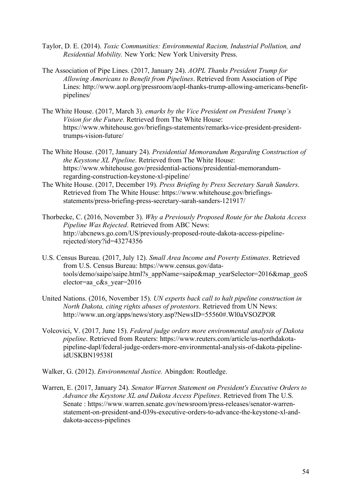- Taylor, D. E. (2014). *Toxic Communities: Environmental Racism, Industrial Pollution, and Residential Mobility.* New York: New York University Press.
- The Association of Pipe Lines. (2017, January 24). *AOPL Thanks President Trump for Allowing Americans to Benefit from Pipelines*. Retrieved from Association of Pipe Lines: http://www.aopl.org/pressroom/aopl-thanks-trump-allowing-americans-benefitpipelines/
- The White House. (2017, March 3). *emarks by the Vice President on President Trump's Vision for the Future*. Retrieved from The White House: https://www.whitehouse.gov/briefings-statements/remarks-vice-president-presidenttrumps-vision-future/
- The White House. (2017, January 24). *Presidential Memorandum Regarding Construction of the Keystone XL Pipeline*. Retrieved from The White House: https://www.whitehouse.gov/presidential-actions/presidential-memorandumregarding-construction-keystone-xl-pipeline/
- The White House. (2017, December 19). *Press Briefing by Press Secretary Sarah Sanders*. Retrieved from The White House: https://www.whitehouse.gov/briefingsstatements/press-briefing-press-secretary-sarah-sanders-121917/
- Thorbecke, C. (2016, November 3). *Why a Previously Proposed Route for the Dakota Access Pipeline Was Rejected*. Retrieved from ABC News: http://abcnews.go.com/US/previously-proposed-route-dakota-access-pipelinerejected/story?id=43274356
- U.S. Census Bureau. (2017, July 12). *Small Area Income and Poverty Estimates*. Retrieved from U.S. Census Bureau: https://www.census.gov/datatools/demo/saipe/saipe.html?s\_appName=saipe&map\_yearSelector=2016&map\_geoS elector=aa\_c&s\_year=2016
- United Nations. (2016, November 15). *UN experts back call to halt pipeline construction in North Dakota, citing rights abuses of protestors*. Retrieved from UN News: http://www.un.org/apps/news/story.asp?NewsID=55560#.Wl0aVSOZPOR
- Volcovici, V. (2017, June 15). *Federal judge orders more environmental analysis of Dakota pipeline*. Retrieved from Reuters: https://www.reuters.com/article/us-northdakotapipeline-dapl/federal-judge-orders-more-environmental-analysis-of-dakota-pipelineidUSKBN19538I
- Walker, G. (2012). *Environmental Justice.* Abingdon: Routledge.
- Warren, E. (2017, January 24). *Senator Warren Statement on President's Executive Orders to Advance the Keystone XL and Dakota Access Pipelines*. Retrieved from The U.S. Senate : https://www.warren.senate.gov/newsroom/press-releases/senator-warrenstatement-on-president-and-039s-executive-orders-to-advance-the-keystone-xl-anddakota-access-pipelines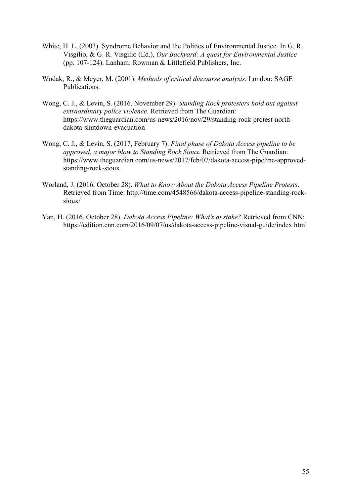- White, H. L. (2003). Syndrome Behavior and the Politics of Environmental Justice. In G. R. Visgilio, & G. R. Visgilio (Ed.), *Our Backyard: A quest for Environmental Justice* (pp. 107-124). Lanham: Rowman & Littlefield Publishers, Inc.
- Wodak, R., & Meyer, M. (2001). *Methods of critical discourse analysis.* London: SAGE Publications.
- Wong, C. J., & Levin, S. (2016, November 29). *Standing Rock protesters hold out against extraordinary police violence*. Retrieved from The Guardian: https://www.theguardian.com/us-news/2016/nov/29/standing-rock-protest-northdakota-shutdown-evacuation
- Wong, C. J., & Levin, S. (2017, February 7). *Final phase of Dakota Access pipeline to be approved, a major blow to Standing Rock Sioux*. Retrieved from The Guardian: https://www.theguardian.com/us-news/2017/feb/07/dakota-access-pipeline-approvedstanding-rock-sioux
- Worland, J. (2016, October 28). *What to Know About the Dakota Access Pipeline Protests*. Retrieved from Time: http://time.com/4548566/dakota-access-pipeline-standing-rocksioux/
- Yan, H. (2016, October 28). *Dakota Access Pipeline: What's at stake?* Retrieved from CNN: https://edition.cnn.com/2016/09/07/us/dakota-access-pipeline-visual-guide/index.html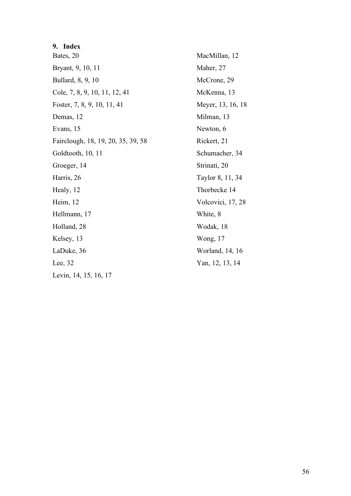### **9. Index**

Bates, 20 Bryant, 9, 10, 11 Bullard, 8, 9, 10 Cole, 7, 8, 9, 10, 11, 12, 41 Foster, 7, 8, 9, 10, 11, 41 Demas, 12 Evans, 15 Fairclough, 18, 19, 20, 35, 39, 58 Goldtooth, 10, 11 Groeger, 14 Harris, 26 Healy, 12 Heim, 12 Hellmann, 17 Holland, 28 Kelsey, 13 LaDuke, 36 Lee, 32 Levin, 14, 15, 16, 17

MacMillan, 12 Maher, 27 McCrone, 29 McKenna, 13 Meyer, 13, 16, 18 Milman, 13 Newton, 6 Rickert, 21 Schumacher, 34 Strinati, 20 Taylor 8, 11, 34 Thorbecke 14 Volcovici, 17, 28 White, 8 Wodak, 18 Wong, 17 Worland, 14, 16 Yan, 12, 13, 14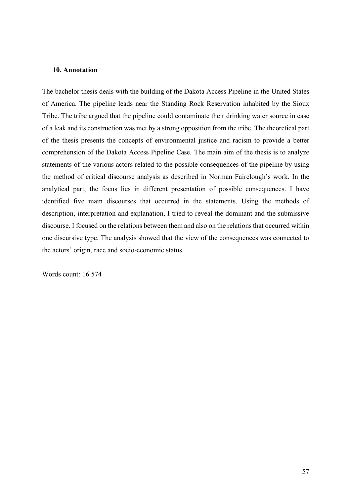### **10. Annotation**

The bachelor thesis deals with the building of the Dakota Access Pipeline in the United States of America. The pipeline leads near the Standing Rock Reservation inhabited by the Sioux Tribe. The tribe argued that the pipeline could contaminate their drinking water source in case of a leak and its construction was met by a strong opposition from the tribe. The theoretical part of the thesis presents the concepts of environmental justice and racism to provide a better comprehension of the Dakota Access Pipeline Case. The main aim of the thesis is to analyze statements of the various actors related to the possible consequences of the pipeline by using the method of critical discourse analysis as described in Norman Fairclough's work. In the analytical part, the focus lies in different presentation of possible consequences. I have identified five main discourses that occurred in the statements. Using the methods of description, interpretation and explanation, I tried to reveal the dominant and the submissive discourse. I focused on the relations between them and also on the relations that occurred within one discursive type. The analysis showed that the view of the consequences was connected to the actors' origin, race and socio-economic status.

Words count: 16 574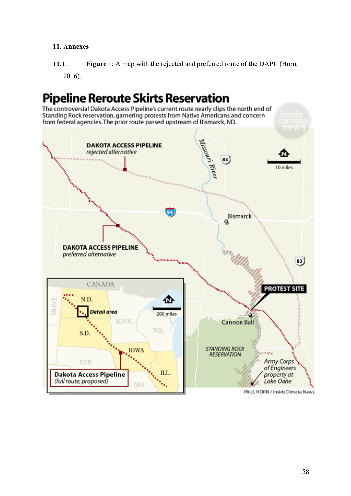### **11. Annexes**

**11.1. Figure 1**: A map with the rejected and preferred route of the DAPL (Horn, 2016).

# **Pipeline Reroute Skirts Reservation**

The controversial Dakota Access Pipeline's current route nearly clips the north end of<br>Standing Rock reservation, garnering protests from Native Americans and concern from federal agencies. The prior route passed upstream of Bismarck, ND.

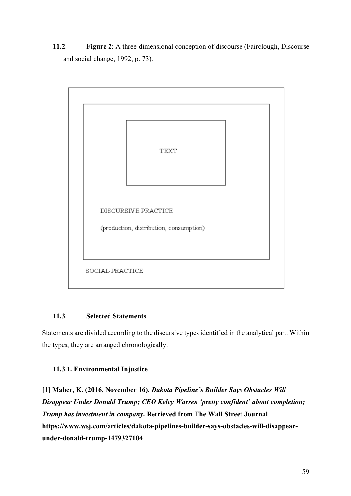**11.2. Figure 2**: A three-dimensional conception of discourse (Fairclough, Discourse and social change, 1992, p. 73).



### **11.3. Selected Statements**

Statements are divided according to the discursive types identified in the analytical part. Within the types, they are arranged chronologically.

### **11.3.1. Environmental Injustice**

**[1] Maher, K. (2016, November 16).** *Dakota Pipeline's Builder Says Obstacles Will Disappear Under Donald Trump; CEO Kelcy Warren 'pretty confident' about completion; Trump has investment in company***. Retrieved from The Wall Street Journal https://www.wsj.com/articles/dakota-pipelines-builder-says-obstacles-will-disappearunder-donald-trump-1479327104**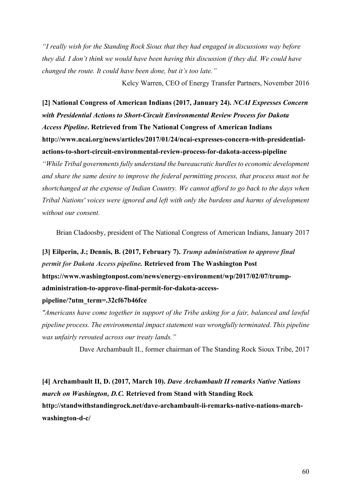*"I really wish for the Standing Rock Sioux that they had engaged in discussions way before they did. I don't think we would have been having this discussion if they did. We could have changed the route. It could have been done, but it's too late."*

Kelcy Warren, CEO of Energy Transfer Partners, November 2016

**[2] National Congress of American Indians (2017, January 24).** *NCAI Expresses Concern with Presidential Actions to Short-Circuit Environmental Review Process for Dakota Access Pipeline***. Retrieved from The National Congress of American Indians http://www.ncai.org/news/articles/2017/01/24/ncai-expresses-concern-with-presidentialactions-to-short-circuit-environmental-review-process-for-dakota-access-pipeline**

*"While Tribal governments fully understand the bureaucratic hurdles to economic development and share the same desire to improve the federal permitting process, that process must not be shortchanged at the expense of Indian Country. We cannot afford to go back to the days when Tribal Nations' voices were ignored and left with only the burdens and harms of development without our consent.* 

Brian Cladoosby, president of The National Congress of American Indians, January 2017

**[3] Eilperin, J.; Dennis, B. (2017, February 7).** *Trump administration to approve final permit for Dakota Access pipeline.* **Retrieved from The Washington Post https://www.washingtonpost.com/news/energy-environment/wp/2017/02/07/trumpadministration-to-approve-final-permit-for-dakota-access-**

### **pipeline/?utm\_term=.32cf67b46fce**

*"Americans have come together in support of the Tribe asking for a fair, balanced and lawful pipeline process. The environmental impact statement was wrongfully terminated. This pipeline was unfairly rerouted across our treaty lands."*

Dave Archambault II., former chairman of The Standing Rock Sioux Tribe, 2017

**[4] Archambault II, D. (2017, March 10).** *Dave Archambault II remarks Native Nations march on Washington, D.C.* **Retrieved from Stand with Standing Rock http://standwithstandingrock.net/dave-archambault-ii-remarks-native-nations-marchwashington-d-c/**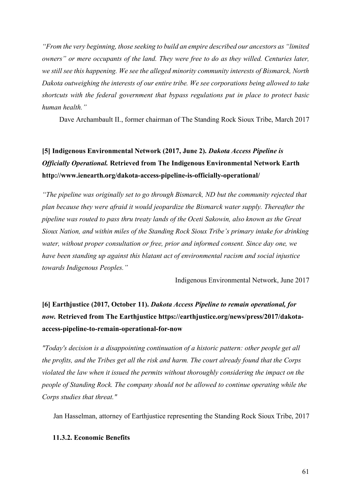*"From the very beginning, those seeking to build an empire described our ancestors as "limited owners" or mere occupants of the land. They were free to do as they willed. Centuries later, we still see this happening. We see the alleged minority community interests of Bismarck, North Dakota outweighing the interests of our entire tribe. We see corporations being allowed to take shortcuts with the federal government that bypass regulations put in place to protect basic human health."*

Dave Archambault II., former chairman of The Standing Rock Sioux Tribe, March 2017

# **[5] Indigenous Environmental Network (2017, June 2).** *Dakota Access Pipeline is Officially Operational.* **Retrieved from The Indigenous Environmental Network Earth http://www.ienearth.org/dakota-access-pipeline-is-officially-operational/**

*"The pipeline was originally set to go through Bismarck, ND but the community rejected that plan because they were afraid it would jeopardize the Bismarck water supply. Thereafter the pipeline was routed to pass thru treaty lands of the Oceti Sakowin, also known as the Great Sioux Nation, and within miles of the Standing Rock Sioux Tribe's primary intake for drinking water, without proper consultation or free, prior and informed consent. Since day one, we have been standing up against this blatant act of environmental racism and social injustice towards Indigenous Peoples."*

Indigenous Environmental Network, June 2017

# **[6] Earthjustice (2017, October 11).** *Dakota Access Pipeline to remain operational, for now.* **Retrieved from The Earthjustice https://earthjustice.org/news/press/2017/dakotaaccess-pipeline-to-remain-operational-for-now**

*"Today's decision is a disappointing continuation of a historic pattern: other people get all the profits, and the Tribes get all the risk and harm. The court already found that the Corps violated the law when it issued the permits without thoroughly considering the impact on the people of Standing Rock. The company should not be allowed to continue operating while the Corps studies that threat."*

Jan Hasselman, attorney of Earthjustice representing the Standing Rock Sioux Tribe, 2017

### **11.3.2. Economic Benefits**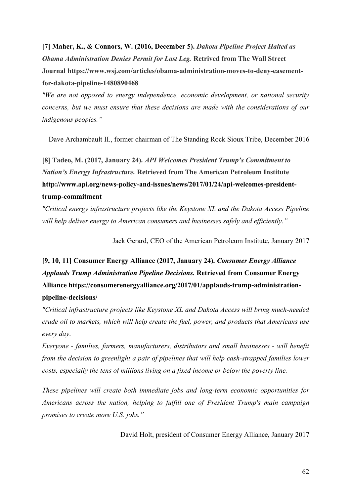**[7] Maher, K., & Connors, W. (2016, December 5).** *Dakota Pipeline Project Halted as Obama Administration Denies Permit for Last Leg.* **Retrived from The Wall Street Journal https://www.wsj.com/articles/obama-administration-moves-to-deny-easementfor-dakota-pipeline-1480890468**

*"We are not opposed to energy independence, economic development, or national security concerns, but we must ensure that these decisions are made with the considerations of our indigenous peoples."*

Dave Archambault II., former chairman of The Standing Rock Sioux Tribe, December 2016

**[8] Tadeo, M. (2017, January 24).** *API Welcomes President Trump's Commitment to Nation's Energy Infrastructure.* **Retrieved from The American Petroleum Institute http://www.api.org/news-policy-and-issues/news/2017/01/24/api-welcomes-presidenttrump-commitment**

*"Critical energy infrastructure projects like the Keystone XL and the Dakota Access Pipeline will help deliver energy to American consumers and businesses safely and efficiently."*

Jack Gerard, CEO of the American Petroleum Institute, January 2017

**[9, 10, 11] Consumer Energy Alliance (2017, January 24).** *Consumer Energy Alliance Applauds Trump Administration Pipeline Decisions.* **Retrieved from Consumer Energy Alliance https://consumerenergyalliance.org/2017/01/applauds-trump-administrationpipeline-decisions/**

*"Critical infrastructure projects like Keystone XL and Dakota Access will bring much-needed crude oil to markets, which will help create the fuel, power, and products that Americans use every day*.

*Everyone - families, farmers, manufacturers, distributors and small businesses - will benefit from the decision to greenlight a pair of pipelines that will help cash-strapped families lower costs, especially the tens of millions living on a fixed income or below the poverty line.*

*These pipelines will create both immediate jobs and long-term economic opportunities for Americans across the nation, helping to fulfill one of President Trump's main campaign promises to create more U.S. jobs."*

David Holt, president of Consumer Energy Alliance, January 2017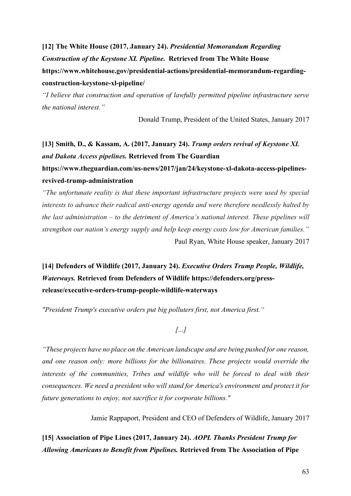**[12] The White House (2017, January 24).** *Presidential Memorandum Regarding Construction of the Keystone XL Pipeline***. Retrieved from The White House https://www.whitehouse.gov/presidential-actions/presidential-memorandum-regardingconstruction-keystone-xl-pipeline/** 

*"I believe that construction and operation of lawfully permitted pipeline infrastructure serve the national interest."*

Donald Trump, President of the United States, January 2017

# **[13] Smith, D., & Kassam, A. (2017, January 24).** *Trump orders revival of Keystone XL and Dakota Access pipelines.* **Retrieved from The Guardian https://www.theguardian.com/us-news/2017/jan/24/keystone-xl-dakota-access-pipelinesrevived-trump-administration**

*"The unfortunate reality is that these important infrastructure projects were used by special interests to advance their radical anti-energy agenda and were therefore needlessly halted by the last administration – to the detriment of America's national interest. These pipelines will strengthen our nation's energy supply and help keep energy costs low for American families."* Paul Ryan, White House speaker, January 2017

**[14] Defenders of Wildlife (2017, January 24).** *Executive Orders Trump People, Wildlife, Waterways.* **Retrieved from Defenders of Wildlife https://defenders.org/pressrelease/executive-orders-trump-people-wildlife-waterways**

*"President Trump's executive orders put big polluters first, not America first."*

*[...]*

*"These projects have no place on the American landscape and are being pushed for one reason, and one reason only: more billions for the billionaires. These projects would override the interests of the communities, Tribes and wildlife who will be forced to deal with their consequences. We need a president who will stand for America's environment and protect it for future generations to enjoy, not sacrifice it for corporate billions."*

Jamie Rappaport, President and CEO of Defenders of Wildlife, January 2017

**[15] Association of Pipe Lines (2017, January 24).** *AOPL Thanks President Trump for Allowing Americans to Benefit from Pipelines.* **Retrieved from The Association of Pipe**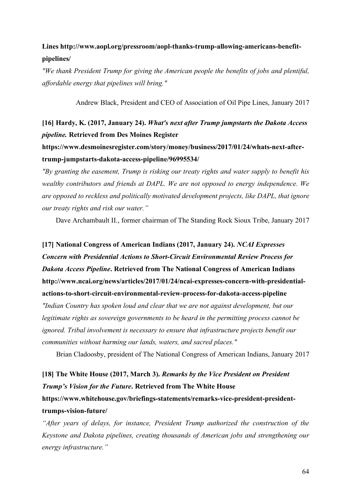### **Lines http://www.aopl.org/pressroom/aopl-thanks-trump-allowing-americans-benefitpipelines/**

*"We thank President Trump for giving the American people the benefits of jobs and plentiful, affordable energy that pipelines will bring."*

Andrew Black, President and CEO of Association of Oil Pipe Lines, January 2017

### **[16] Hardy, K. (2017, January 24).** *What's next after Trump jumpstarts the Dakota Access pipeline.* **Retrieved from Des Moines Register**

**https://www.desmoinesregister.com/story/money/business/2017/01/24/whats-next-aftertrump-jumpstarts-dakota-access-pipeline/96995534/**

*"By granting the easement, Trump is risking our treaty rights and water supply to benefit his wealthy contributors and friends at DAPL. We are not opposed to energy independence. We are opposed to reckless and politically motivated development projects, like DAPL, that ignore our treaty rights and risk our water."*

Dave Archambault II., former chairman of The Standing Rock Sioux Tribe, January 2017

# **[17] National Congress of American Indians (2017, January 24).** *NCAI Expresses Concern with Presidential Actions to Short-Circuit Environmental Review Process for Dakota Access Pipeline***. Retrieved from The National Congress of American Indians http://www.ncai.org/news/articles/2017/01/24/ncai-expresses-concern-with-presidentialactions-to-short-circuit-environmental-review-process-for-dakota-access-pipeline**

*"Indian Country has spoken loud and clear that we are not against development, but our legitimate rights as sovereign governments to be heard in the permitting process cannot be ignored. Tribal involvement is necessary to ensure that infrastructure projects benefit our communities without harming our lands, waters, and sacred places."*

Brian Cladoosby, president of The National Congress of American Indians, January 2017

# **[18] The White House (2017, March 3).** *Remarks by the Vice President on President Trump's Vision for the Future***. Retrieved from The White House https://www.whitehouse.gov/briefings-statements/remarks-vice-president-presidenttrumps-vision-future/**

*"After years of delays, for instance, President Trump authorized the construction of the Keystone and Dakota pipelines, creating thousands of American jobs and strengthening our energy infrastructure."*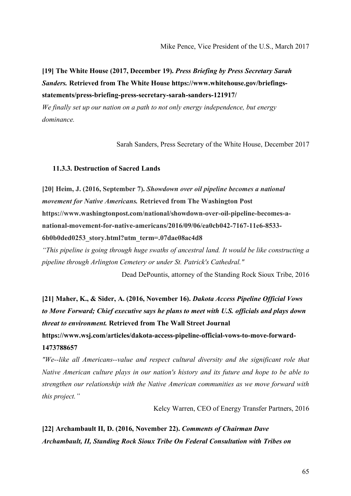**[19] The White House (2017, December 19).** *Press Briefing by Press Secretary Sarah Sanders.* **Retrieved from The White House https://www.whitehouse.gov/briefingsstatements/press-briefing-press-secretary-sarah-sanders-121917/**

*We finally set up our nation on a path to not only energy independence, but energy dominance.* 

Sarah Sanders, Press Secretary of the White House, December 2017

### **11.3.3. Destruction of Sacred Lands**

**[20] Heim, J. (2016, September 7).** *Showdown over oil pipeline becomes a national movement for Native Americans.* **Retrieved from The Washington Post https://www.washingtonpost.com/national/showdown-over-oil-pipeline-becomes-anational-movement-for-native-americans/2016/09/06/ea0cb042-7167-11e6-8533- 6b0b0ded0253\_story.html?utm\_term=.07dae08ac4d8**

*"This pipeline is going through huge swaths of ancestral land. It would be like constructing a pipeline through Arlington Cemetery or under St. Patrick's Cathedral."*

Dead DePountis, attorney of the Standing Rock Sioux Tribe, 2016

**[21] Maher, K., & Sider, A. (2016, November 16).** *Dakota Access Pipeline Official Vows to Move Forward; Chief executive says he plans to meet with U.S. officials and plays down threat to environment.* **Retrieved from The Wall Street Journal https://www.wsj.com/articles/dakota-access-pipeline-official-vows-to-move-forward-1473788657**

*"We--like all Americans--value and respect cultural diversity and the significant role that Native American culture plays in our nation's history and its future and hope to be able to strengthen our relationship with the Native American communities as we move forward with this project."*

Kelcy Warren, CEO of Energy Transfer Partners, 2016

**[22] Archambault II, D. (2016, November 22).** *Comments of Chairman Dave Archambault, II, Standing Rock Sioux Tribe On Federal Consultation with Tribes on*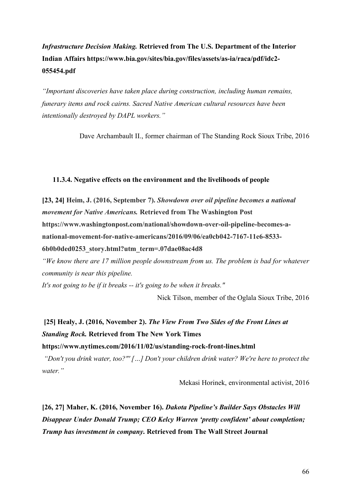# *Infrastructure Decision Making.* **Retrieved from The U.S. Department of the Interior Indian Affairs https://www.bia.gov/sites/bia.gov/files/assets/as-ia/raca/pdf/idc2- 055454.pdf**

*"Important discoveries have taken place during construction, including human remains, funerary items and rock cairns. Sacred Native American cultural resources have been intentionally destroyed by DAPL workers."*

Dave Archambault II., former chairman of The Standing Rock Sioux Tribe, 2016

### **11.3.4. Negative effects on the environment and the livelihoods of people**

**[23, 24] Heim, J. (2016, September 7).** *Showdown over oil pipeline becomes a national movement for Native Americans.* **Retrieved from The Washington Post https://www.washingtonpost.com/national/showdown-over-oil-pipeline-becomes-anational-movement-for-native-americans/2016/09/06/ea0cb042-7167-11e6-8533- 6b0b0ded0253\_story.html?utm\_term=.07dae08ac4d8**

*"We know there are 17 million people downstream from us. The problem is bad for whatever community is near this pipeline.*

*It's not going to be if it breaks -- it's going to be when it breaks."*

Nick Tilson, member of the Oglala Sioux Tribe, 2016

# **[25] Healy, J. (2016, November 2).** *The View From Two Sides of the Front Lines at Standing Rock.* **Retrieved from The New York Times**

**https://www.nytimes.com/2016/11/02/us/standing-rock-front-lines.html**

*"Don't you drink water, too?"' […] Don't your children drink water? We're here to protect the water."*

Mekasi Horinek, environmental activist, 2016

**[26, 27] Maher, K. (2016, November 16).** *Dakota Pipeline's Builder Says Obstacles Will Disappear Under Donald Trump; CEO Kelcy Warren 'pretty confident' about completion; Trump has investment in company***. Retrieved from The Wall Street Journal**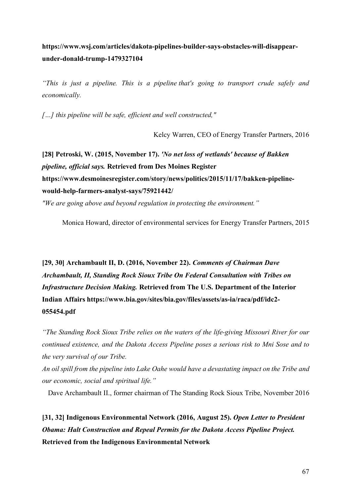**https://www.wsj.com/articles/dakota-pipelines-builder-says-obstacles-will-disappearunder-donald-trump-1479327104**

*"This is just a pipeline. This is a pipeline that's going to transport crude safely and economically.*

*[…] this pipeline will be safe, efficient and well constructed,"*

Kelcy Warren, CEO of Energy Transfer Partners, 2016

**[28] Petroski, W. (2015, November 17).** *'No net loss of wetlands' because of Bakken pipeline, official says.* **Retrieved from Des Moines Register https://www.desmoinesregister.com/story/news/politics/2015/11/17/bakken-pipelinewould-help-farmers-analyst-says/75921442/**

*"We are going above and beyond regulation in protecting the environment."*

Monica Howard, director of environmental services for Energy Transfer Partners, 2015

**[29, 30] Archambault II, D. (2016, November 22).** *Comments of Chairman Dave Archambault, II, Standing Rock Sioux Tribe On Federal Consultation with Tribes on Infrastructure Decision Making.* **Retrieved from The U.S. Department of the Interior Indian Affairs https://www.bia.gov/sites/bia.gov/files/assets/as-ia/raca/pdf/idc2- 055454.pdf**

*"The Standing Rock Sioux Tribe relies on the waters of the life-giving Missouri River for our continued existence, and the Dakota Access Pipeline poses a serious risk to Mni Sose and to the very survival of our Tribe.*

*An oil spill from the pipeline into Lake Oahe would have a devastating impact on the Tribe and our economic, social and spiritual life."*

Dave Archambault II., former chairman of The Standing Rock Sioux Tribe, November 2016

**[31, 32] Indigenous Environmental Network (2016, August 25).** *Open Letter to President Obama: Halt Construction and Repeal Permits for the Dakota Access Pipeline Project.*  **Retrieved from the Indigenous Environmental Network**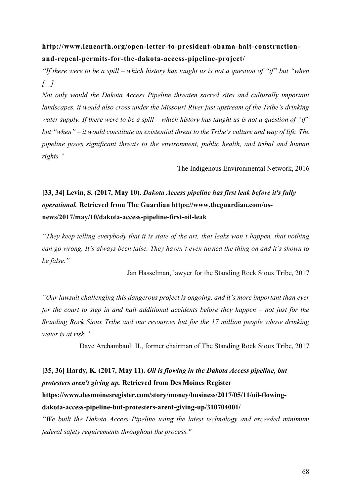### **http://www.ienearth.org/open-letter-to-president-obama-halt-constructionand-repeal-permits-for-the-dakota-access-pipeline-project/**

*"If there were to be a spill – which history has taught us is not a question of "if" but "when […]*

*Not only would the Dakota Access Pipeline threaten sacred sites and culturally important landscapes, it would also cross under the Missouri River just upstream of the Tribe's drinking water supply. If there were to be a spill – which history has taught us is not a question of "if" but "when" – it would constitute an existential threat to the Tribe's culture and way of life. The pipeline poses significant threats to the environment, public health, and tribal and human rights."*

The Indigenous Environmental Network, 2016

# **[33, 34] Levin, S. (2017, May 10).** *Dakota Access pipeline has first leak before it's fully operational.* **Retrieved from The Guardian https://www.theguardian.com/usnews/2017/may/10/dakota-access-pipeline-first-oil-leak**

*"They keep telling everybody that it is state of the art, that leaks won't happen, that nothing can go wrong. It's always been false. They haven't even turned the thing on and it's shown to be false."*

Jan Hasselman, lawyer for the Standing Rock Sioux Tribe, 2017

*"Our lawsuit challenging this dangerous project is ongoing, and it's more important than ever for the court to step in and halt additional accidents before they happen – not just for the Standing Rock Sioux Tribe and our resources but for the 17 million people whose drinking water is at risk."*

Dave Archambault II., former chairman of The Standing Rock Sioux Tribe, 2017

**[35, 36] Hardy, K. (2017, May 11).** *Oil is flowing in the Dakota Access pipeline, but protesters aren't giving up.* **Retrieved from Des Moines Register https://www.desmoinesregister.com/story/money/business/2017/05/11/oil-flowingdakota-access-pipeline-but-protesters-arent-giving-up/310704001/**

*"We built the Dakota Access Pipeline using the latest technology and exceeded minimum federal safety requirements throughout the process."*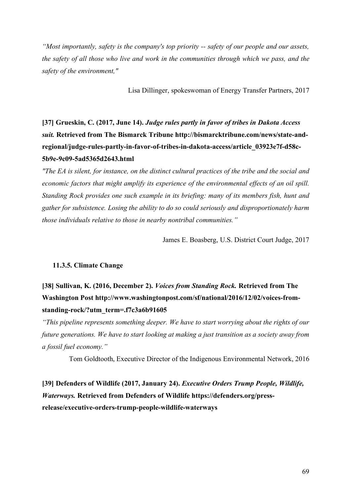*"Most importantly, safety is the company's top priority -- safety of our people and our assets, the safety of all those who live and work in the communities through which we pass, and the safety of the environment,"*

Lisa Dillinger, spokeswoman of Energy Transfer Partners, 2017

**[37] Grueskin, C. (2017, June 14).** *Judge rules partly in favor of tribes in Dakota Access suit.* **Retrieved from The Bismarck Tribune http://bismarcktribune.com/news/state-andregional/judge-rules-partly-in-favor-of-tribes-in-dakota-access/article\_03923e7f-d58c-5b9e-9c09-5ad5365d2643.html**

*"The EA is silent, for instance, on the distinct cultural practices of the tribe and the social and economic factors that might amplify its experience of the environmental effects of an oil spill. Standing Rock provides one such example in its briefing: many of its members fish, hunt and gather for subsistence. Losing the ability to do so could seriously and disproportionately harm those individuals relative to those in nearby nontribal communities."*

James E. Boasberg, U.S. District Court Judge, 2017

### **11.3.5. Climate Change**

### **[38] Sullivan, K. (2016, December 2).** *Voices from Standing Rock.* **Retrieved from The Washington Post http://www.washingtonpost.com/sf/national/2016/12/02/voices-fromstanding-rock/?utm\_term=.f7c3a6b91605**

*"This pipeline represents something deeper. We have to start worrying about the rights of our future generations. We have to start looking at making a just transition as a society away from a fossil fuel economy."*

Tom Goldtooth, Executive Director of the Indigenous Environmental Network, 2016

**[39] Defenders of Wildlife (2017, January 24).** *Executive Orders Trump People, Wildlife, Waterways.* **Retrieved from Defenders of Wildlife https://defenders.org/pressrelease/executive-orders-trump-people-wildlife-waterways**